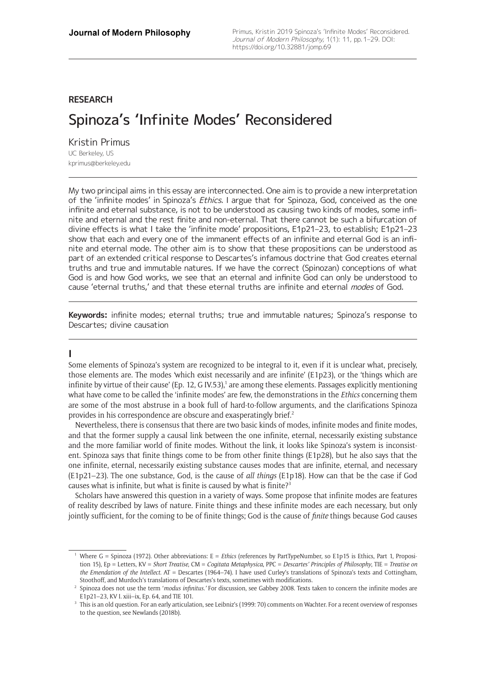# **RESEARCH**

# Spinoza's 'Infinite Modes' Reconsidered

Kristin Primus UC Berkeley, US [kprimus@berkeley.edu](mailto:kprimus@berkeley.edu)

My two principal aims in this essay are interconnected. One aim is to provide a new interpretation of the 'infinite modes' in Spinoza's *Ethics*. I argue that for Spinoza, God, conceived as the one infinite and eternal substance, is not to be understood as causing two kinds of modes, some infinite and eternal and the rest finite and non-eternal. That there cannot be such a bifurcation of divine effects is what I take the 'infinite mode' propositions, E1p21–23, to establish; E1p21–23 show that each and every one of the immanent effects of an infinite and eternal God is an infinite and eternal mode. The other aim is to show that these propositions can be understood as part of an extended critical response to Descartes's infamous doctrine that God creates eternal truths and true and immutable natures. If we have the correct (Spinozan) conceptions of what God is and how God works, we see that an eternal and infinite God can only be understood to cause 'eternal truths,' and that these eternal truths are infinite and eternal *modes* of God.

**Keywords:** infinite modes; eternal truths; true and immutable natures; Spinoza's response to Descartes; divine causation

## **I**

Some elements of Spinoza's system are recognized to be integral to it, even if it is unclear what, precisely, those elements are. The modes 'which exist necessarily and are infinite' (E1p23), or the 'things which are infinite by virtue of their cause' (Ep. 12, G IV.53),<sup>1</sup> are among these elements. Passages explicitly mentioning what have come to be called the 'infinite modes' are few, the demonstrations in the *Ethics* concerning them are some of the most abstruse in a book full of hard-to-follow arguments, and the clarifications Spinoza provides in his correspondence are obscure and exasperatingly brief.<sup>2</sup>

Nevertheless, there is consensus that there are two basic kinds of modes, infinite modes and finite modes, and that the former supply a causal link between the one infinite, eternal, necessarily existing substance and the more familiar world of finite modes. Without the link, it looks like Spinoza's system is inconsistent. Spinoza says that finite things come to be from other finite things (E1p28), but he also says that the one infinite, eternal, necessarily existing substance causes modes that are infinite, eternal, and necessary (E1p21–23). The one substance, God, is the cause of *all things* (E1p18)*.* How can that be the case if God causes what is infinite, but what is finite is caused by what is finite? $3$ 

Scholars have answered this question in a variety of ways. Some propose that infinite modes are features of reality described by laws of nature. Finite things and these infinite modes are each necessary, but only jointly sufficient, for the coming to be of finite things; God is the cause of *finite* things because God causes

Where G = Spinoza (1972). Other abbreviations: E = *Ethics* (references by PartTypeNumber, so E1p15 is Ethics, Part 1, Proposition 15), Ep = Letters, KV = *Short Treatise*, CM = *Cogitata Metaphysica*, PPC = *Descartes' Principles of Philosophy*, TIE = *Treatise on the Emendation of the Intellect*. AT = Descartes (1964–74). I have used Curley's translations of Spinoza's texts and Cottingham, Stoothoff, and Murdoch's translations of Descartes's texts, sometimes with modifications.

<sup>2</sup> Spinoza does not use the term '*modus infinitus.'* For discussion, see Gabbey 2008. Texts taken to concern the infinite modes are E1p21–23, KV I. xiii–ix, Ep. 64, and TIE 101.

<sup>&</sup>lt;sup>3</sup> This is an old question. For an early articulation, see Leibniz's (1999: 70) comments on Wachter. For a recent overview of responses to the question, see Newlands (2018b).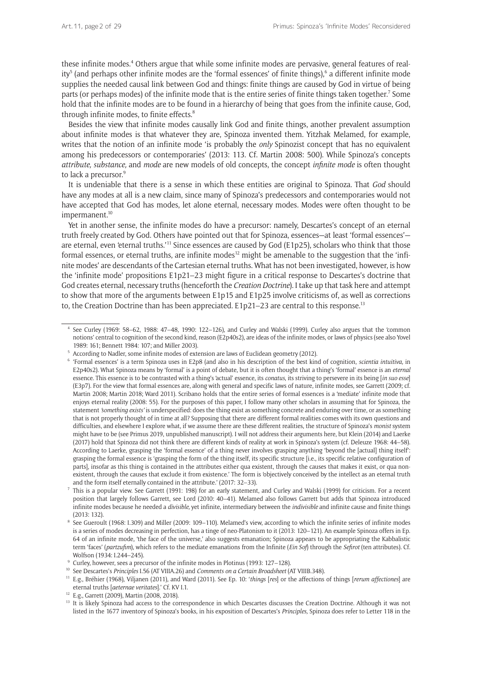these infinite modes.<sup>4</sup> Others argue that while some infinite modes are pervasive, general features of reality<sup>5</sup> (and perhaps other infinite modes are the 'formal essences' of finite things),<sup>6</sup> a different infinite mode supplies the needed causal link between God and things: finite things are caused by God in virtue of being parts (or perhaps modes) of the infinite mode that is the entire series of finite things taken together.<sup>7</sup> Some hold that the infinite modes are to be found in a hierarchy of being that goes from the infinite cause, God, through infinite modes, to finite effects.<sup>8</sup>

Besides the view that infinite modes causally link God and finite things, another prevalent assumption about infinite modes is that whatever they are, Spinoza invented them. Yitzhak Melamed, for example, writes that the notion of an infinite mode 'is probably the *only* Spinozist concept that has no equivalent among his predecessors or contemporaries' (2013: 113. Cf. Martin 2008: 500). While Spinoza's concepts *attribute, substance,* and *mode* are new models of old concepts, the concept *infinite mode* is often thought to lack a precursor.<sup>9</sup>

It is undeniable that there is a sense in which these entities are original to Spinoza. That *God* should have any modes at all is a new claim, since many of Spinoza's predecessors and contemporaries would not have accepted that God has modes, let alone eternal, necessary modes. Modes were often thought to be impermanent.<sup>10</sup>

Yet in another sense, the infinite modes do have a precursor: namely, Descartes's concept of an eternal truth freely created by God. Others have pointed out that for Spinoza, essences—at least 'formal essences' are eternal, even 'eternal truths.'11 Since essences are caused by God (E1p25), scholars who think that those formal essences, or eternal truths, are infinite modes<sup>12</sup> might be amenable to the suggestion that the 'infinite modes' are descendants of the Cartesian eternal truths. What has not been investigated, however, is how the 'infinite mode' propositions E1p21–23 might figure in a critical response to Descartes's doctrine that God creates eternal, necessary truths (henceforth the *Creation Doctrine*). I take up that task here and attempt to show that more of the arguments between E1p15 and E1p25 involve criticisms of, as well as corrections to, the Creation Doctrine than has been appreciated. E1p21–23 are central to this response.<sup>13</sup>

<sup>4</sup> See Curley (1969: 58–62, 1988: 47–48, 1990: 122–126), and Curley and Walski (1999). Curley also argues that the 'common notions' central to cognition of the second kind, reason (E2p40s2), are ideas of the infinite modes, or laws of physics (see also Yovel 1989: 161; Bennett 1984: 107; and Miller 2003).

<sup>5</sup> According to Nadler, some infinite modes of extension are laws of Euclidean geometry (2012).

<sup>6</sup> 'Formal essences' is a term Spinoza uses in E2p8 (and also in his description of the best kind of cognition, *scientia intuitiva,* in E2p40s2). What Spinoza means by 'formal' is a point of debate, but it is often thought that a thing's 'formal' essence is an *eternal*  essence. This essence is to be contrasted with a thing's 'actual' essence, its *conatus*, its striving to persevere in its being [*in suo esse*] (E3p7). For the view that formal essences are, along with general and specific laws of nature, infinite modes, see Garrett (2009; cf. Martin 2008; Martin 2018; Ward 2011). Scribano holds that the entire series of formal essences is a 'mediate' infinite mode that enjoys eternal reality (2008: 55). For the purposes of this paper, I follow many other scholars in assuming that for Spinoza, the statement *'something exists'* is underspecified: does the thing exist as something concrete and enduring over time, or as something that is not properly thought of in time at all? Supposing that there are different formal realities comes with its own questions and difficulties, and elsewhere I explore what, if we assume there are these different realities, the structure of Spinoza's *monist* system might have to be (see Primus 2019, unpublished manuscript). I will not address their arguments here, but Klein (2014) and Laerke (2017) hold that Spinoza did not think there are different kinds of reality at work in Spinoza's system (cf. Deleuze 1968: 44–58). According to Laerke, grasping the 'formal essence' of a thing never involves grasping anything 'beyond the [actual] thing itself': grasping the formal essence is 'grasping the form of the thing itself, its specific structure [i.e., its specific relative configuration of parts], insofar as this thing is contained in the attributes either qua existent, through the causes that makes it exist, or qua nonexistent, through the causes that exclude it from existence.' The form is 'objectively conceived by the intellect as an eternal truth and the form itself eternally contained in the attribute.' (2017: 32–33).

<sup>7</sup> This is a popular view. See Garrett (1991: 198) for an early statement, and Curley and Walski (1999) for criticism. For a recent position that largely follows Garrett, see Lord (2010: 40–41). Melamed also follows Garrett but adds that Spinoza introduced infinite modes because he needed a *divisible,* yet infinite, intermediary between the *indivisible* and infinite cause and finite things (2013: 132).

<sup>8</sup> See Gueroult (1968: I.309) and Miller (2009: 109–110). Melamed's view, according to which the infinite series of infinite modes is a series of modes decreasing in perfection, has a tinge of neo-Platonism to it (2013: 120–121). An example Spinoza offers in Ep. 64 of an infinite mode, 'the face of the universe,' also suggests emanation; Spinoza appears to be appropriating the Kabbalistic term 'faces' (*partzufim*), which refers to the mediate emanations from the Infinite (*Ein Sof*) through the *Sefirot* (ten attributes). Cf. Wolfson (1934: I.244–245).

<sup>9</sup> Curley, however, sees a precursor of the infinite modes in Plotinus (1993: 127–128).

<sup>10</sup> See Descartes's *Principles* I.56 (AT VIIIA.26) and *Comments on a Certain Broadsheet* (AT VIIIB.348).

<sup>11</sup> E.g., Bréhier (1968), Viljanen (2011), and Ward (2011). See Ep. 10: '*things* [*res*] or the affections of things [*rerum affectiones*] are eternal truths [*aeternae veritates*].' Cf. KV I.1. 12 E.g., Garrett (2009), Martin (2008, 2018).

<sup>&</sup>lt;sup>13</sup> It is likely Spinoza had access to the correspondence in which Descartes discusses the Creation Doctrine. Although it was not listed in the 1677 inventory of Spinoza's books, in his exposition of Descartes's *Principles,* Spinoza does refer to Letter 118 in the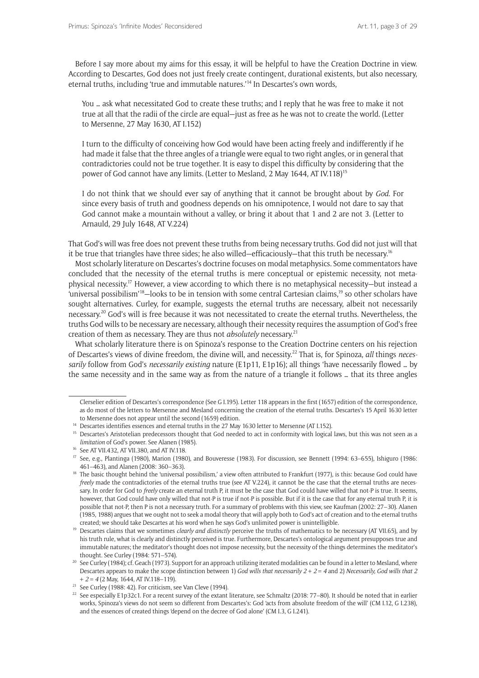Before I say more about my aims for this essay, it will be helpful to have the Creation Doctrine in view. According to Descartes, God does not just freely create contingent, durational existents, but also necessary, eternal truths, including 'true and immutable natures.'<sup>14</sup> In Descartes's own words,

You … ask what necessitated God to create these truths; and I reply that he was free to make it not true at all that the radii of the circle are equal—just as free as he was not to create the world. (Letter to Mersenne, 27 May 1630, AT I.152)

I turn to the difficulty of conceiving how God would have been acting freely and indifferently if he had made it false that the three angles of a triangle were equal to two right angles, or in general that contradictories could not be true together. It is easy to dispel this difficulty by considering that the power of God cannot have any limits. (Letter to Mesland, 2 May 1644, AT IV.118)15

I do not think that we should ever say of anything that it cannot be brought about by *God*. For since every basis of truth and goodness depends on his omnipotence, I would not dare to say that God cannot make a mountain without a valley, or bring it about that 1 and 2 are not 3. (Letter to Arnauld, 29 July 1648, AT V.224)

That God's will was free does not prevent these truths from being necessary truths. God did not just will that it be true that triangles have three sides; he also willed—efficaciously—that this truth be necessary.16

Most scholarly literature on Descartes's doctrine focuses on modal metaphysics. Some commentators have concluded that the necessity of the eternal truths is mere conceptual or epistemic necessity, not metaphysical necessity.17 However, a view according to which there is no metaphysical necessity—but instead a 'universal possibilism'18—looks to be in tension with some central Cartesian claims,19 so other scholars have sought alternatives. Curley, for example, suggests the eternal truths are necessary, albeit not necessarily necessary.<sup>20</sup> God's will is free because it was not necessitated to create the eternal truths. Nevertheless, the truths God wills to be necessary are necessary, although their necessity requires the assumption of God's free creation of them as necessary. They are thus not *absolutely* necessary.21

What scholarly literature there is on Spinoza's response to the Creation Doctrine centers on his rejection of Descartes's views of divine freedom, the divine will, and necessity.<sup>22</sup> That is, for Spinoza, *all* things *necessarily* follow from God's *necessarily existing* nature (E1p11, E1p16); all things 'have necessarily flowed … by the same necessity and in the same way as from the nature of a triangle it follows … that its three angles

<sup>15</sup> Descartes's Aristotelian predecessors thought that God needed to act in conformity with logical laws, but this was not seen as a *limitation* of God's power. See Alanen (1985).<br><sup>16</sup> See AT VII.432, AT VII.380, and AT IV.118.

Clerselier edition of Descartes's correspondence (See G I.195). Letter 118 appears in the first (1657) edition of the correspondence, as do most of the letters to Mersenne and Mesland concerning the creation of the eternal truths. Descartes's 15 April 1630 letter to Mersenne does not appear until the second (1659) edition. 14 Descartes identifies essences and eternal truths in the 27 May 1630 letter to Mersenne (AT I.152).

<sup>&</sup>lt;sup>17</sup> See, e.g., Plantinga (1980), Marion (1980), and Bouveresse (1983). For discussion, see Bennett (1994: 63-655), Ishiguro (1986: 461–463), and Alanen (2008: 360–363).

<sup>&</sup>lt;sup>18</sup> The basic thought behind the 'universal possibilism,' a view often attributed to Frankfurt (1977), is this: because God could have *freely* made the contradictories of the eternal truths true (see AT V.224), it cannot be the case that the eternal truths are necessary. In order for God to *freely* create an eternal truth P, it must be the case that God could have willed that not-P is true. It seems, however, that God could have only willed that not-P is true if not-P is possible. But if it is the case that for any eternal truth P, it is possible that not-P, then P is not a necessary truth. For a summary of problems with this view, see Kaufman (2002: 27–30). Alanen (1985, 1988) argues that we ought not to seek a modal theory that will apply both to God's act of creation and to the eternal truths

created; we should take Descartes at his word when he says God's unlimited power is unintelligible.<br><sup>19</sup> Descartes claims that we sometimes *clearly and distinctly* perceive the truths of mathematics to be necessary (AT VI his truth rule, what is clearly and distinctly perceived is true. Furthermore, Descartes's ontological argument presupposes true and immutable natures; the meditator's thought does not impose necessity, but the necessity of the things determines the meditator's thought. See Curley (1984: 571–574).

<sup>&</sup>lt;sup>20</sup> See Curley (1984); cf. Geach (1973). Support for an approach utilizing iterated modalities can be found in a letter to Mesland, where Descartes appears to make the scope distinction between 1) *God wills that necessarily 2 + 2 = 4* and 2) *Necessarily, God wills that 2 + 2 = 4* (2 May, 1644, AT IV.118–119).

<sup>&</sup>lt;sup>21</sup> See Curley (1988: 42). For criticism, see Van Cleve (1994).

<sup>&</sup>lt;sup>22</sup> See especially E1p32c1. For a recent survey of the extant literature, see Schmaltz (2018: 77–80). It should be noted that in earlier works, Spinoza's views do not seem so different from Descartes's: God 'acts from absolute freedom of the will' (CM I.12, G I.238), and the essences of created things 'depend on the decree of God alone' (CM I.3, G I.241).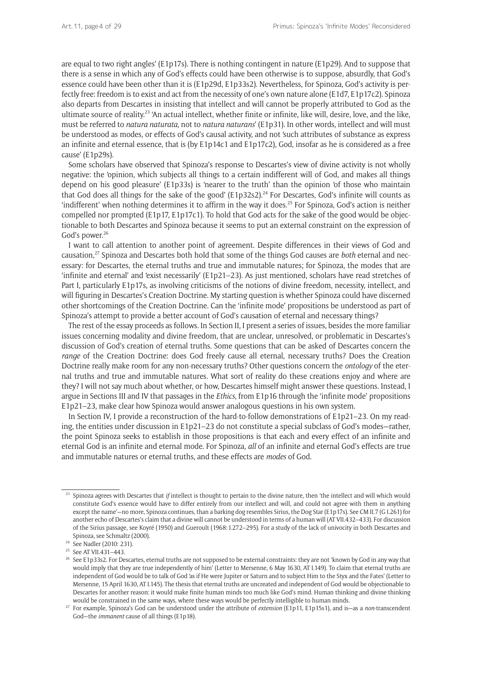are equal to two right angles' (E1p17s). There is nothing contingent in nature (E1p29). And to suppose that there is a sense in which any of God's effects could have been otherwise is to suppose, absurdly, that God's essence could have been other than it is (E1p29d, E1p33s2). Nevertheless, for Spinoza, God's activity is perfectly free: freedom is to exist and act from the necessity of one's own nature alone (E1d7, E1p17c2). Spinoza also departs from Descartes in insisting that intellect and will cannot be properly attributed to God as the ultimate source of reality.<sup>23</sup> 'An actual intellect, whether finite or infinite, like will, desire, love, and the like, must be referred to *natura naturata,* not to *natura naturans*' (E1p31). In other words, intellect and will must be understood as modes, or effects of God's causal activity, and not 'such attributes of substance as express an infinite and eternal essence, that is (by E1p14c1 and E1p17c2), God, insofar as he is considered as a free cause' (E1p29s).

Some scholars have observed that Spinoza's response to Descartes's view of divine activity is not wholly negative: the 'opinion, which subjects all things to a certain indifferent will of God, and makes all things depend on his good pleasure' (E1p33s) is 'nearer to the truth' than the opinion 'of those who maintain that God does all things for the sake of the good' (E1p32s2).<sup>24</sup> For Descartes, God's infinite will counts as 'indifferent' when nothing determines it to affirm in the way it does.<sup>25</sup> For Spinoza, God's action is neither compelled nor prompted (E1p17, E1p17c1). To hold that God acts for the sake of the good would be objectionable to both Descartes and Spinoza because it seems to put an external constraint on the expression of God's power.<sup>26</sup>

I want to call attention to another point of agreement. Despite differences in their views of God and causation,27 Spinoza and Descartes both hold that some of the things God causes are *both* eternal and necessary: for Descartes, the eternal truths and true and immutable natures; for Spinoza, the modes that are 'infinite and eternal' and 'exist necessarily' (E1p21–23). As just mentioned, scholars have read stretches of Part I, particularly E1p17s, as involving criticisms of the notions of divine freedom, necessity, intellect, and will figuring in Descartes's Creation Doctrine. My starting question is whether Spinoza could have discerned other shortcomings of the Creation Doctrine. Can the 'infinite mode' propositions be understood as part of Spinoza's attempt to provide a better account of God's causation of eternal and necessary things?

The rest of the essay proceeds as follows. In Section II, I present a series of issues, besides the more familiar issues concerning modality and divine freedom, that are unclear, unresolved, or problematic in Descartes's discussion of God's creation of eternal truths. Some questions that can be asked of Descartes concern the *range* of the Creation Doctrine: does God freely cause all eternal, necessary truths? Does the Creation Doctrine really make room for any non*-*necessary truths? Other questions concern the *ontology* of the eternal truths and true and immutable natures. What sort of reality do these creations enjoy and where are they? I will not say much about whether, or how, Descartes himself might answer these questions. Instead, I argue in Sections III and IV that passages in the *Ethics*, from E1p16 through the 'infinite mode' propositions E1p21–23, make clear how Spinoza would answer analogous questions in his own system.

In Section IV, I provide a reconstruction of the hard-to-follow demonstrations of E1p21–23. On my reading, the entities under discussion in E1p21–23 do not constitute a special subclass of God's modes—rather, the point Spinoza seeks to establish in those propositions is that each and every effect of an infinite and eternal God is an infinite and eternal mode. For Spinoza, *all* of an infinite and eternal God's effects are true and immutable natures or eternal truths, and these effects are *modes* of God.

<sup>&</sup>lt;sup>23</sup> Spinoza agrees with Descartes that *if* intellect is thought to pertain to the divine nature, then 'the intellect and will which would constitute God's essence would have to differ entirely from our intellect and will, and could not agree with them in anything except the name'—no more, Spinoza continues, than a barking dog resembles Sirius, the Dog Star (E1p17s). See CM II.7 (G I.261) for another echo of Descartes's claim that a divine will cannot be understood in terms of a human will (AT VII.432–433). For discussion of the Sirius passage, see Koyré (1950) and Gueroult (1968: I.272–295). For a study of the lack of univocity in both Descartes and Spinoza, see Schmaltz (2000).

<sup>&</sup>lt;sup>24</sup> See Nadler (2010: 231).

<sup>25</sup> See AT VII.431–443.

<sup>&</sup>lt;sup>26</sup> See E1p33s2. For Descartes, eternal truths are not supposed to be external constraints: they are not 'known by God in any way that would imply that they are true independently of him' (Letter to Mersenne, 6 May 1630, AT I.149). To claim that eternal truths are independent of God would be to talk of God 'as if He were Jupiter or Saturn and to subject Him to the Styx and the Fates' (Letter to Mersenne, 15 April 1630, AT I.145). The thesis that eternal truths are uncreated and independent of God would be objectionable to Descartes for another reason: it would make finite human minds too much like God's mind. Human thinking and divine thinking would be constrained in the same ways, where these ways would be perfectly intelligible to human minds.

<sup>27</sup> For example, Spinoza's God can be understood under the attribute of *extension* (E1p11, E1p15s1), and is—as a *non*-transcendent God—the *immanent* cause of all things (E1p18).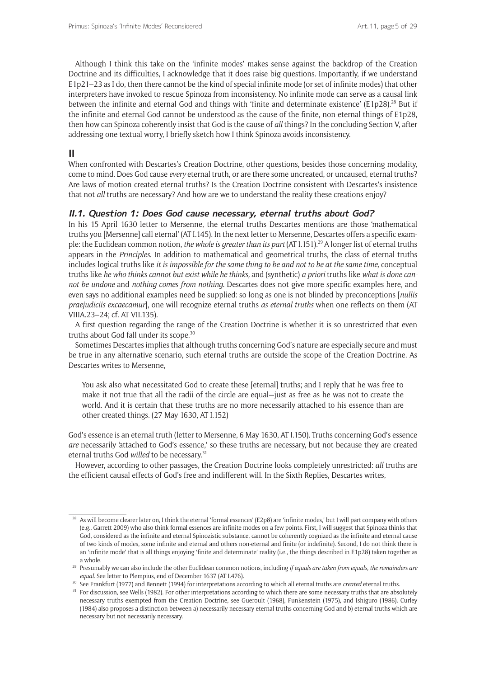Although I think this take on the 'infinite modes' makes sense against the backdrop of the Creation Doctrine and its difficulties, I acknowledge that it does raise big questions. Importantly, if we understand E1p21–23 as I do, then there cannot be the kind of special infinite mode (or set of infinite modes) that other interpreters have invoked to rescue Spinoza from inconsistency. No infinite mode can serve as a causal link between the infinite and eternal God and things with 'finite and determinate existence' (E1p28).<sup>28</sup> But if the infinite and eternal God cannot be understood as the cause of the finite, non-eternal things of E1p28, then how can Spinoza coherently insist that God is the cause of *all* things? In the concluding Section V, after addressing one textual worry, I briefly sketch how I think Spinoza avoids inconsistency.

# **II**

When confronted with Descartes's Creation Doctrine, other questions, besides those concerning modality, come to mind. Does God cause *every* eternal truth, or are there some uncreated, or uncaused, eternal truths? Are laws of motion created eternal truths? Is the Creation Doctrine consistent with Descartes's insistence that not *all* truths are necessary? And how are we to understand the reality these creations enjoy?

### **II.1. Question 1: Does God cause necessary, eternal truths about God?**

In his 15 April 1630 letter to Mersenne, the eternal truths Descartes mentions are those 'mathematical truths you [Mersenne] call eternal' (AT I.145). In the next letter to Mersenne, Descartes offers a specific example: the Euclidean common notion, *the whole is greater than its part* (AT I.151).<sup>29</sup> A longer list of eternal truths appears in the *Principles*. In addition to mathematical and geometrical truths, the class of eternal truths includes logical truths like *it is impossible for the same thing to be and not to be at the same time,* conceptual truths like *he who thinks cannot but exist while he thinks,* and (synthetic) *a priori* truths like *what is done cannot be undone* and *nothing comes from nothing.* Descartes does not give more specific examples here, and even says no additional examples need be supplied: so long as one is not blinded by preconceptions [*nullis praejudiciis excaecamur*], one will recognize eternal truths *as eternal truths* when one reflects on them (AT VIIIA.23–24; cf. AT VII.135).

A first question regarding the range of the Creation Doctrine is whether it is so unrestricted that even truths about God fall under its scope.<sup>30</sup>

Sometimes Descartes implies that although truths concerning God's nature are especially secure and must be true in any alternative scenario, such eternal truths are outside the scope of the Creation Doctrine. As Descartes writes to Mersenne,

You ask also what necessitated God to create these [eternal] truths; and I reply that he was free to make it not true that all the radii of the circle are equal—just as free as he was not to create the world. And it is certain that these truths are no more necessarily attached to his essence than are other created things. (27 May 1630, AT I.152)

God's essence is an eternal truth (letter to Mersenne, 6 May 1630, AT I.150). Truths concerning God's essence *are* necessarily 'attached to God's essence,' so these truths are necessary, but not because they are created eternal truths God *willed* to be necessary.31

However, according to other passages, the Creation Doctrine looks completely unrestricted: *all* truths are the efficient causal effects of God's free and indifferent will. In the Sixth Replies, Descartes writes,

 $28$  As will become clearer later on, I think the eternal 'formal essences' (E2p8) are 'infinite modes,' but I will part company with others (e.g., Garrett 2009) who also think formal essences are infinite modes on a few points. First, I will suggest that Spinoza thinks that God, considered as the infinite and eternal Spinozistic substance, cannot be coherently cognized as the infinite and eternal cause of two kinds of modes, some infinite and eternal and others non-eternal and finite (or indefinite). Second, I do not think there is an 'infinite mode' that is all things enjoying 'finite and determinate' reality (i.e., the things described in E1p28) taken together as

a whole. 29 Presumably we can also include the other Euclidean common notions, including *if equals are taken from equals, the remainders are equal*. See letter to Plempius, end of December 1637 (AT I.476).

<sup>30</sup> See Frankfurt (1977) and Bennett (1994) for interpretations according to which all eternal truths are *created* eternal truths.

<sup>&</sup>lt;sup>31</sup> For discussion, see Wells (1982). For other interpretations according to which there are some necessary truths that are absolutely necessary truths exempted from the Creation Doctrine, see Gueroult (1968), Funkenstein (1975), and Ishiguro (1986). Curley (1984) also proposes a distinction between a) necessarily necessary eternal truths concerning God and b) eternal truths which are necessary but not necessarily necessary.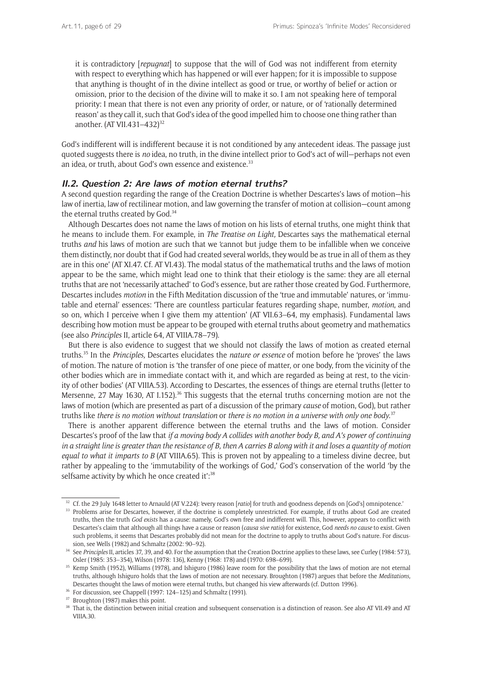it is contradictory [*repugnat*] to suppose that the will of God was not indifferent from eternity with respect to everything which has happened or will ever happen; for it is impossible to suppose that anything is thought of in the divine intellect as good or true, or worthy of belief or action or omission, prior to the decision of the divine will to make it so. I am not speaking here of temporal priority: I mean that there is not even any priority of order, or nature, or of 'rationally determined reason' as they call it, such that God's idea of the good impelled him to choose one thing rather than another. (AT VII.431-432)<sup>32</sup>

God's indifferent will is indifferent because it is not conditioned by any antecedent ideas. The passage just quoted suggests there is *no* idea, no truth, in the divine intellect prior to God's act of will—perhaps not even an idea, or truth, about God's own essence and existence.<sup>33</sup>

#### **II.2. Question 2: Are laws of motion eternal truths?**

A second question regarding the range of the Creation Doctrine is whether Descartes's laws of motion—his law of inertia, law of rectilinear motion, and law governing the transfer of motion at collision—count among the eternal truths created by God.<sup>34</sup>

Although Descartes does not name the laws of motion on his lists of eternal truths, one might think that he means to include them. For example, in *The Treatise on Light,* Descartes says the mathematical eternal truths *and* his laws of motion are such that we 'cannot but judge them to be infallible when we conceive them distinctly, nor doubt that if God had created several worlds, they would be as true in all of them as they are in this one' (AT XI.47. Cf. AT VI.43). The modal status of the mathematical truths and the laws of motion appear to be the same, which might lead one to think that their etiology is the same: they are all eternal truths that are not 'necessarily attached' to God's essence, but are rather those created by God. Furthermore, Descartes includes *motion* in the Fifth Meditation discussion of the 'true and immutable' natures, or 'immutable and eternal' essences: 'There are countless particular features regarding shape, number, *motion*, and so on, which I perceive when I give them my attention' (AT VII.63–64, my emphasis). Fundamental laws describing how motion must be appear to be grouped with eternal truths about geometry and mathematics (see also *Principles* II, article 64, AT VIIIA.78–79).

But there is also evidence to suggest that we should not classify the laws of motion as created eternal truths.35 In the *Principles,* Descartes elucidates the *nature or essence* of motion before he 'proves' the laws of motion. The nature of motion is 'the transfer of one piece of matter, or one body, from the vicinity of the other bodies which are in immediate contact with it, and which are regarded as being at rest, to the vicinity of other bodies' (AT VIIIA.53). According to Descartes, the essences of things are eternal truths (letter to Mersenne, 27 May 1630, AT I.152).<sup>36</sup> This suggests that the eternal truths concerning motion are not the laws of motion (which are presented as part of a discussion of the primary *cause* of motion, God), but rather truths like *there is no motion without translation* or *there is no motion in a universe with only one body*. 37

There is another apparent difference between the eternal truths and the laws of motion. Consider Descartes's proof of the law that *if a moving body A collides with another body B, and A's power of continuing in a straight line is greater than the resistance of B, then A carries B along with it and loses a quantity of motion equal to what it imparts to B* (AT VIIIA.65)*.* This is proven not by appealing to a timeless divine decree, but rather by appealing to the 'immutability of the workings of God,' God's conservation of the world 'by the selfsame activity by which he once created it":<sup>38</sup>

<sup>32</sup> Cf. the 29 July 1648 letter to Arnauld (AT V.224): 'every reason [*ratio*] for truth and goodness depends on [God's] omnipotence.'

<sup>33</sup> Problems arise for Descartes, however, if the doctrine is completely unrestricted. For example, if truths about God are created truths, then the truth *God exists* has a cause: namely, God's own free and indifferent will. This, however, appears to conflict with Descartes's claim that although all things have a cause or reason (*causa sive ratio*) for existence, God *needs no cause* to exist. Given such problems, it seems that Descartes probably did not mean for the doctrine to apply to truths about God's nature. For discussion, see Wells (1982) and Schmaltz (2002: 90–92).

<sup>&</sup>lt;sup>34</sup> See *Principles* II, articles 37, 39, and 40. For the assumption that the Creation Doctrine applies to these laws, see Curley (1984: 573), Osler (1985: 353–354), Wilson (1978: 136), Kenny (1968: 178) and (1970: 698–699).

<sup>&</sup>lt;sup>35</sup> Kemp Smith (1952), Williams (1978), and Ishiguro (1986) leave room for the possibility that the laws of motion are not eternal truths, although Ishiguro holds that the laws of motion are not necessary. Broughton (1987) argues that before the *Meditations,*  Descartes thought the laws of motion were eternal truths, but changed his view afterwards (cf. Dutton 1996).

<sup>&</sup>lt;sup>36</sup> For discussion, see Chappell (1997: 124–125) and Schmaltz (1991).

<sup>&</sup>lt;sup>37</sup> Broughton (1987) makes this point.

<sup>&</sup>lt;sup>38</sup> That is, the distinction between initial creation and subsequent conservation is a distinction of reason. See also AT VII.49 and AT VIIIA.30.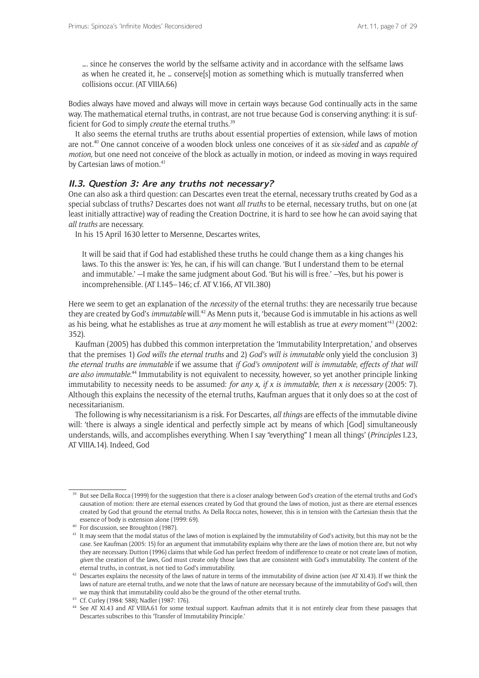…. since he conserves the world by the selfsame activity and in accordance with the selfsame laws as when he created it, he … conserve[s] motion as something which is mutually transferred when collisions occur. (AT VIIIA.66)

Bodies always have moved and always will move in certain ways because God continually acts in the same way. The mathematical eternal truths, in contrast, are not true because God is conserving anything: it is sufficient for God to simply *create* the eternal truths.<sup>39</sup>

It also seems the eternal truths are truths about essential properties of extension, while laws of motion are not.40 One cannot conceive of a wooden block unless one conceives of it as *six-sided* and as *capable of motion,* but one need not conceive of the block as actually in motion, or indeed as moving in ways required by Cartesian laws of motion.<sup>41</sup>

#### **II.3. Question 3: Are any truths not necessary?**

One can also ask a third question: can Descartes even treat the eternal, necessary truths created by God as a special subclass of truths? Descartes does not want *all truths* to be eternal, necessary truths, but on one (at least initially attractive) way of reading the Creation Doctrine, it is hard to see how he can avoid saying that *all truths* are necessary.

In his 15 April 1630 letter to Mersenne, Descartes writes,

It will be said that if God had established these truths he could change them as a king changes his laws. To this the answer is: Yes, he can, if his will can change. 'But I understand them to be eternal and immutable.' —I make the same judgment about God. 'But his will is free.' —Yes, but his power is incomprehensible. (AT I.145–146; cf. AT V.166, AT VII.380)

Here we seem to get an explanation of the *necessity* of the eternal truths: they are necessarily true because they are created by God's *immutable* will.42 As Menn puts it, 'because God is immutable in his actions as well as his being, what he establishes as true at *any* moment he will establish as true at *every* moment<sup>143</sup> (2002: 352).

Kaufman (2005) has dubbed this common interpretation the 'Immutability Interpretation,' and observes that the premises 1) *God wills the eternal truths* and 2) *God's will is immutable* only yield the conclusion 3) *the eternal truths are immutable* if we assume that *if God's omnipotent will is immutable, effects of that will*  are also immutable.<sup>44</sup> Immutability is not equivalent to necessity, however, so yet another principle linking immutability to necessity needs to be assumed: *for any x, if x is immutable, then x is necessary* (2005: 7). Although this explains the necessity of the eternal truths, Kaufman argues that it only does so at the cost of necessitarianism.

The following is why necessitarianism is a risk. For Descartes, *all things* are effects of the immutable divine will: 'there is always a single identical and perfectly simple act by means of which [God] simultaneously understands, wills, and accomplishes everything. When I say "everything" I mean all things' (*Principles* I.23, AT VIIIA.14). Indeed, God

<sup>&</sup>lt;sup>39</sup> But see Della Rocca (1999) for the suggestion that there is a closer analogy between God's creation of the eternal truths and God's causation of motion: there are eternal essences created by God that ground the laws of motion, just as there are eternal essences created by God that ground the eternal truths. As Della Rocca notes, however, this is in tension with the Cartesian thesis that the essence of body is extension alone (1999: 69).

<sup>40</sup> For discussion, see Broughton (1987).

<sup>&</sup>lt;sup>41</sup> It may seem that the modal status of the laws of motion is explained by the immutability of God's activity, but this may not be the case. See Kaufman (2005: 15) for an argument that immutability explains why there are the laws of motion there are, but not why they are necessary. Dutton (1996) claims that while God has perfect freedom of indifference to create or not create laws of motion, *given* the creation of the laws, God must create only those laws that are consistent with God's immutability. The content of the eternal truths, in contrast, is not tied to God's immutability.

<sup>&</sup>lt;sup>42</sup> Descartes explains the necessity of the laws of nature in terms of the immutability of divine action (see AT XI.43). If we think the laws of nature are eternal truths, and we note that the laws of nature are necessary because of the immutability of God's will, then we may think that immutability could also be the ground of the other eternal truths.

<sup>43</sup> Cf. Curley (1984: 588); Nadler (1987: 176).

<sup>44</sup> See AT XI.43 and AT VIIIA.61 for some textual support. Kaufman admits that it is not entirely clear from these passages that Descartes subscribes to this 'Transfer of Immutability Principle.'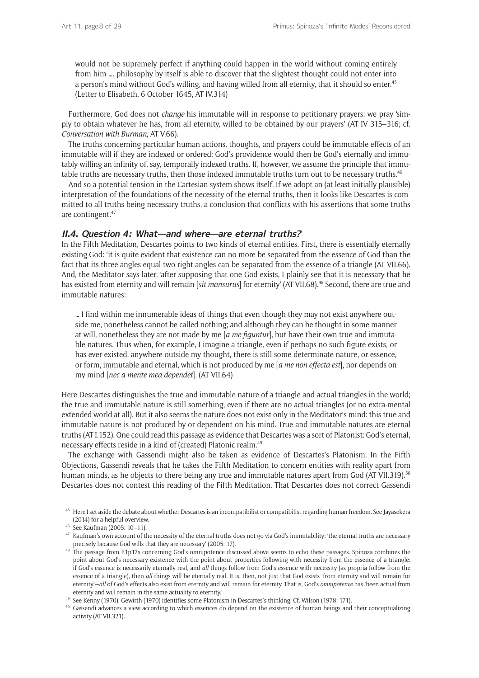would not be supremely perfect if anything could happen in the world without coming entirely from him …. philosophy by itself is able to discover that the slightest thought could not enter into a person's mind without God's willing, and having willed from all eternity, that it should so enter.<sup>45</sup> (Letter to Elisabeth, 6 October 1645, AT IV.314)

Furthermore, God does not *change* his immutable will in response to petitionary prayers: we pray 'simply to obtain whatever he has, from all eternity, willed to be obtained by our prayers' (AT IV 315–316; cf. *Conversation with Burman*, AT V.66).

The truths concerning particular human actions, thoughts, and prayers could be immutable effects of an immutable will if they are indexed or ordered: God's providence would then be God's eternally and immutably willing an infinity of, say, temporally indexed truths. If, however, we assume the principle that immutable truths are necessary truths, then those indexed immutable truths turn out to be necessary truths.<sup>46</sup>

And so a potential tension in the Cartesian system shows itself. If we adopt an (at least initially plausible) interpretation of the foundations of the necessity of the eternal truths, then it looks like Descartes is committed to all truths being necessary truths, a conclusion that conflicts with his assertions that some truths are contingent.47

#### **II.4. Question 4: What—and where—are eternal truths?**

In the Fifth Meditation, Descartes points to two kinds of eternal entities. First, there is essentially eternally existing God: 'it is quite evident that existence can no more be separated from the essence of God than the fact that its three angles equal two right angles can be separated from the essence of a triangle (AT VII.66). And, the Meditator says later, 'after supposing that one God exists, I plainly see that it is necessary that he has existed from eternity and will remain [*sit mansurus*] for eternity' (AT VII.68).<sup>48</sup> Second, there are true and immutable natures:

… I find within me innumerable ideas of things that even though they may not exist anywhere outside me, nonetheless cannot be called nothing; and although they can be thought in some manner at will, nonetheless they are not made by me [*a me figuntur*], but have their own true and immutable natures. Thus when, for example, I imagine a triangle, even if perhaps no such figure exists, or has ever existed, anywhere outside my thought, there is still some determinate nature, or essence, or form, immutable and eternal, which is not produced by me [*a me non effecta est*], nor depends on my mind [*nec a mente mea dependet*]. (AT VII.64)

Here Descartes distinguishes the true and immutable nature of a triangle and actual triangles in the world; the true and immutable nature is still something, even if there are no actual triangles (or no extra-mental extended world at all). But it also seems the nature does not exist only in the Meditator's mind: this true and immutable nature is not produced by or dependent on his mind. True and immutable natures are eternal truths (AT I.152). One could read this passage as evidence that Descartes was a sort of Platonist: God's eternal, necessary effects reside in a kind of (created) Platonic realm.<sup>49</sup>

The exchange with Gassendi might also be taken as evidence of Descartes's Platonism. In the Fifth Objections, Gassendi reveals that he takes the Fifth Meditation to concern entities with reality apart from human minds, as he objects to there being any true and immutable natures apart from God (AT VII.319).<sup>50</sup> Descartes does not contest this reading of the Fifth Meditation. That Descartes does not correct Gassendi

<sup>&</sup>lt;sup>45</sup> Here I set aside the debate about whether Descartes is an incompatibilist or compatibilist regarding human freedom. See Jayasekera (2014) for a helpful overview.<br><sup>46</sup> See Kaufman (2005: 10–11).

 $47$  Kaufman's own account of the necessity of the eternal truths does not go via God's immutability: 'the eternal truths are necessary precisely because God wills that they are necessary' (2005: 17).

<sup>48</sup> The passage from E1p17s concerning God's omnipotence discussed above seems to echo these passages. Spinoza combines the point about God's necessary existence with the point about properties following with necessity from the essence of a triangle: if God's essence is necessarily eternally real, and *all* things follow from God's essence with necessity (as propria follow from the essence of a triangle), then *all* things will be eternally real. It is, then, not just that God exists 'from eternity and will remain for eternity'—*all* of God's effects also exist from eternity and will remain for eternity. That is, God's *omnipotence* has 'been actual from eternity and will remain in the same actuality to eternity.'

<sup>&</sup>lt;sup>49</sup> See Kenny (1970). Gewirth (1970) identifies some Platonism in Descartes's thinking. Cf. Wilson (1978: 171).

<sup>&</sup>lt;sup>50</sup> Gassendi advances a view according to which essences do depend on the existence of human beings and their conceptualizing activity (AT VII.321).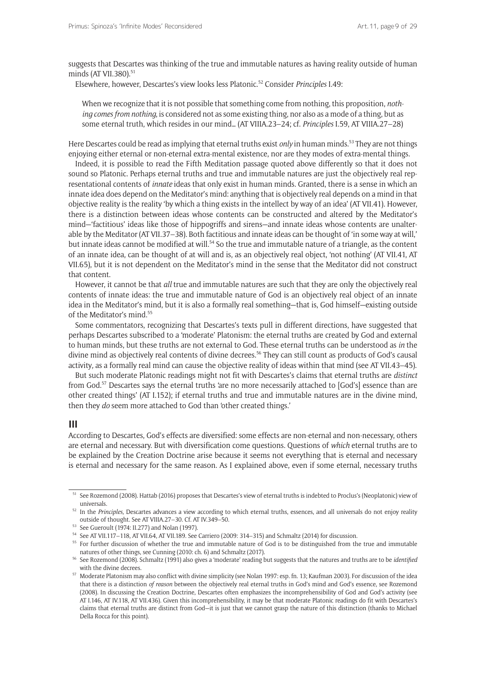suggests that Descartes was thinking of the true and immutable natures as having reality outside of human minds (AT VII.380).<sup>51</sup>

Elsewhere, however, Descartes's view looks less Platonic.52 Consider *Principles* I.49:

When we recognize that it is not possible that something come from nothing, this proposition, *nothing comes from nothing*, is considered not as some existing thing, nor also as a mode of a thing, but as some eternal truth, which resides in our mind… (AT VIIIA.23–24; cf. *Principles* I.59, AT VIIIA.27–28)

Here Descartes could be read as implying that eternal truths exist *only* in human minds.53 They are not things enjoying either eternal or non-eternal extra-mental existence, nor are they modes of extra-mental things.

Indeed, it is possible to read the Fifth Meditation passage quoted above differently so that it does not sound so Platonic. Perhaps eternal truths and true and immutable natures are just the objectively real representational contents of *innate* ideas that only exist in human minds. Granted, there is a sense in which an innate idea does depend on the Meditator's mind: anything that is objectively real depends on a mind in that objective reality is the reality 'by which a thing exists in the intellect by way of an idea' (AT VII.41). However, there is a distinction between ideas whose contents can be constructed and altered by the Meditator's mind—'factitious' ideas like those of hippogriffs and sirens—and innate ideas whose contents are unalterable by the Meditator (AT VII.37–38). Both factitious and innate ideas can be thought of 'in some way at will,' but innate ideas cannot be modified at will.<sup>54</sup> So the true and immutable nature of a triangle, as the content of an innate idea, can be thought of at will and is, as an objectively real object, 'not nothing' (AT VII.41, AT VII.65), but it is not dependent on the Meditator's mind in the sense that the Meditator did not construct that content.

However, it cannot be that *all* true and immutable natures are such that they are only the objectively real contents of innate ideas: the true and immutable nature of God is an objectively real object of an innate idea in the Meditator's mind, but it is also a formally real something—that is, God himself—existing outside of the Meditator's mind<sup>55</sup>

Some commentators, recognizing that Descartes's texts pull in different directions, have suggested that perhaps Descartes subscribed to a 'moderate' Platonism: the eternal truths are created by God and external to human minds, but these truths are not external to God. These eternal truths can be understood as *in* the divine mind as objectively real contents of divine decrees.<sup>56</sup> They can still count as products of God's causal activity*,* as a formally real mind can cause the objective reality of ideas within that mind (see AT VII.43–45).

But such moderate Platonic readings might not fit with Descartes's claims that eternal truths are *distinct*  from God.57 Descartes says the eternal truths 'are no more necessarily attached to [God's] essence than are other created things' (AT I.152); if eternal truths and true and immutable natures are in the divine mind, then they *do* seem more attached to God than 'other created things.'

#### **III**

According to Descartes, God's effects are diversified: some effects are non-eternal and non-necessary, others are eternal and necessary. But with diversification come questions. Questions of *which* eternal truths are to be explained by the Creation Doctrine arise because it seems not everything that is eternal and necessary is eternal and necessary for the same reason. As I explained above, even if some eternal, necessary truths

<sup>51</sup> See Rozemond (2008). Hattab (2016) proposes that Descartes's view of eternal truths is indebted to Proclus's (Neoplatonic) view of universals.

<sup>52</sup> In the *Principles,* Descartes advances a view according to which eternal truths, essences, and all universals do not enjoy reality outside of thought. See AT VIIIA.27–30. Cf. AT IV.349–50.

<sup>53</sup> See Gueroult (1974: II.277) and Nolan (1997).

<sup>54</sup> See AT VII.117–118, AT VII.64, AT VII.189. See Carriero (2009: 314–315) and Schmaltz (2014) for discussion.

<sup>&</sup>lt;sup>55</sup> For further discussion of whether the true and immutable nature of God is to be distinguished from the true and immutable natures of other things, see Cunning (2010: ch. 6) and Schmaltz (2017).

<sup>56</sup> See Rozemond (2008). Schmaltz (1991) also gives a 'moderate' reading but suggests that the natures and truths are to be *identified*  with the divine decrees.<br><sup>57</sup> Moderate Platonism may also conflict with divine simplicity (see Nolan 1997: esp. fn. 13; Kaufman 2003). For discussion of the idea

that there is a distinction *of reason* between the objectively real eternal truths in God's mind and God's essence, see Rozemond (2008). In discussing the Creation Doctrine, Descartes often emphasizes the incomprehensibility of God and God's activity (see AT I.146, AT IV.118, AT VII.436). Given this incomprehensibility, it may be that moderate Platonic readings do fit with Descartes's claims that eternal truths are distinct from God—it is just that we cannot grasp the nature of this distinction (thanks to Michael Della Rocca for this point).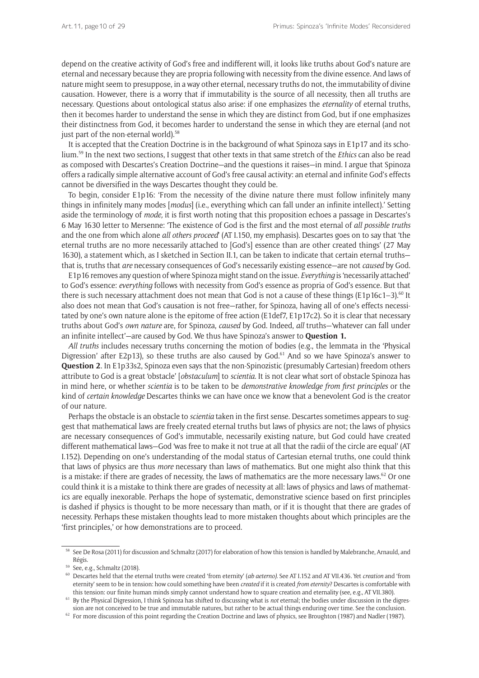depend on the creative activity of God's free and indifferent will, it looks like truths about God's nature are eternal and necessary because they are propria following with necessity from the divine essence. And laws of nature might seem to presuppose, in a way other eternal, necessary truths do not, the immutability of divine causation. However, there is a worry that if immutability is the source of all necessity, then all truths are necessary. Questions about ontological status also arise: if one emphasizes the *eternality* of eternal truths, then it becomes harder to understand the sense in which they are distinct from God, but if one emphasizes their distinctness from God, it becomes harder to understand the sense in which they are eternal (and not just part of the non-eternal world).<sup>58</sup>

It is accepted that the Creation Doctrine is in the background of what Spinoza says in E1p17 and its scholium.59 In the next two sections, I suggest that other texts in that same stretch of the *Ethics* can also be read as composed with Descartes's Creation Doctrine—and the questions it raises—in mind. I argue that Spinoza offers a radically simple alternative account of God's free causal activity: an eternal and infinite God's effects cannot be diversified in the ways Descartes thought they could be.

To begin, consider E1p16: 'From the necessity of the divine nature there must follow infinitely many things in infinitely many modes [*modus*] (i.e., everything which can fall under an infinite intellect).' Setting aside the terminology of *mode,* it is first worth noting that this proposition echoes a passage in Descartes's 6 May 1630 letter to Mersenne: 'The existence of God is the first and the most eternal of *all possible truths* and the one from which alone *all others proceed*' (AT I.150, my emphasis). Descartes goes on to say that 'the eternal truths are no more necessarily attached to [God's] essence than are other created things' (27 May 1630), a statement which, as I sketched in Section II.1, can be taken to indicate that certain eternal truths that is, truths that *are* necessary consequences of God's necessarily existing essence—are not *caused* by God.

E1p16 removes any question of where Spinoza might stand on the issue. *Everything* is 'necessarily attached' to God's essence: *everything* follows with necessity from God's essence as propria of God's essence. But that there is such necessary attachment does not mean that God is not a cause of these things ( $E1p16c1-3$ ).<sup>60</sup> It also does not mean that God's causation is not free—rather, for Spinoza, having all of one's effects necessitated by one's own nature alone is the epitome of free action (E1def7, E1p17c2). So it is clear that necessary truths about God's *own nature* are, for Spinoza, *caused* by God. Indeed, *all* truths—'whatever can fall under an infinite intellect'—are caused by God. We thus have Spinoza's answer to **Question 1.**

*All truths* includes necessary truths concerning the motion of bodies (e.g., the lemmata in the 'Physical Digression' after E2p13), so these truths are also caused by God.<sup>61</sup> And so we have Spinoza's answer to **Question 2**. In E1p33s2, Spinoza even says that the non-Spinozistic (presumably Cartesian) freedom others attribute to God is a great 'obstacle' [*obstaculum*] to *scientia.* It is not clear what sort of obstacle Spinoza has in mind here, or whether *scientia* is to be taken to be *demonstrative knowledge from first principles* or the kind of *certain knowledge* Descartes thinks we can have once we know that a benevolent God is the creator of our nature*.* 

Perhaps the obstacle is an obstacle to *scientia* taken in the first sense. Descartes sometimes appears to suggest that mathematical laws are freely created eternal truths but laws of physics are not; the laws of physics are necessary consequences of God's immutable, necessarily existing nature, but God could have created different mathematical laws—God 'was free to make it not true at all that the radii of the circle are equal' (AT I.152). Depending on one's understanding of the modal status of Cartesian eternal truths, one could think that laws of physics are thus *more* necessary than laws of mathematics. But one might also think that this is a mistake: if there are grades of necessity, the laws of mathematics are the more necessary laws.<sup>62</sup> Or one could think it is a mistake to think there are grades of necessity at all: laws of physics and laws of mathematics are equally inexorable. Perhaps the hope of systematic, demonstrative science based on first principles is dashed if physics is thought to be more necessary than math, or if it is thought that there are grades of necessity. Perhaps these mistaken thoughts lead to more mistaken thoughts about which principles are the 'first principles,' or how demonstrations are to proceed.

<sup>&</sup>lt;sup>58</sup> See De Rosa (2011) for discussion and Schmaltz (2017) for elaboration of how this tension is handled by Malebranche, Arnauld, and Régis.

<sup>59</sup> See, e.g., Schmaltz (2018).

<sup>60</sup> Descartes held that the eternal truths were created 'from eternity' (*ab aeterno).* See AT I.152 and AT VII.436*.* Yet *creation* and 'from eternity' seem to be in tension: how could something have been *created* if it is created *from eternity*? Descartes is comfortable with this tension: our finite human minds simply cannot understand how to square creation and eternality (see, e.g., AT VII.380).

<sup>61</sup> By the Physical Digression, I think Spinoza has shifted to discussing what is *not* eternal; the bodies under discussion in the digression are not conceived to be true and immutable natures, but rather to be actual things enduring over time. See the conclusion.

 $62$  For more discussion of this point regarding the Creation Doctrine and laws of physics, see Broughton (1987) and Nadler (1987).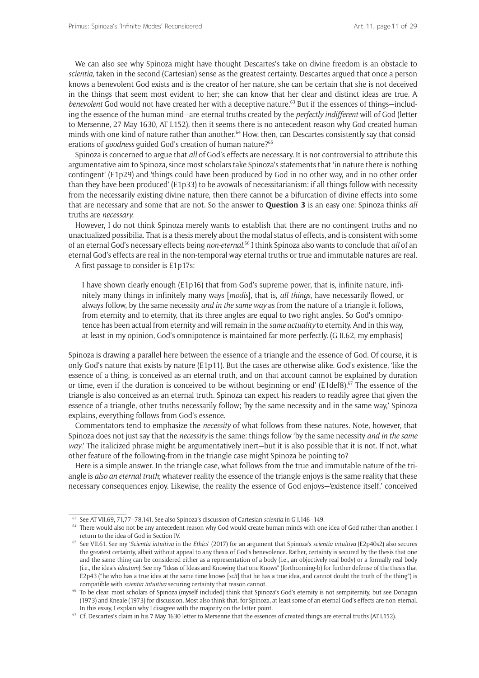We can also see why Spinoza might have thought Descartes's take on divine freedom is an obstacle to *scientia,* taken in the second (Cartesian) sense as the greatest certainty. Descartes argued that once a person knows a benevolent God exists and is the creator of her nature, she can be certain that she is not deceived in the things that seem most evident to her; she can know that her clear and distinct ideas are true. A *benevolent* God would not have created her with a deceptive nature.<sup>63</sup> But if the essences of things—including the essence of the human mind—are eternal truths created by the *perfectly indifferent* will of God (letter to Mersenne, 27 May 1630, AT I.152), then it seems there is no antecedent reason why God created human minds with one kind of nature rather than another.<sup>64</sup> How, then, can Descartes consistently say that considerations of *goodness* guided God's creation of human nature?<sup>65</sup>

Spinoza is concerned to argue that *all* of God's effects are necessary. It is not controversial to attribute this argumentative aim to Spinoza, since most scholars take Spinoza's statements that 'in nature there is nothing contingent' (E1p29) and 'things could have been produced by God in no other way, and in no other order than they have been produced' (E1p33) to be avowals of necessitarianism: if all things follow with necessity from the necessarily existing divine nature, then there cannot be a bifurcation of divine effects into some that are necessary and some that are not. So the answer to **Question 3** is an easy one: Spinoza thinks *all* truths are *necessary.* 

However, I do not think Spinoza merely wants to establish that there are no contingent truths and no unactualized possibilia. That is a thesis merely about the modal status of effects, and is consistent with some of an eternal God's necessary effects being *non-eternal*. 66 I think Spinoza also wants to conclude that *all* of an eternal God's effects are real in the non-temporal way eternal truths or true and immutable natures are real.

A first passage to consider is E1p17s:

I have shown clearly enough (E1p16) that from God's supreme power, that is, infinite nature, infinitely many things in infinitely many ways [*modis*], that is, *all things*, have necessarily flowed, or always follow, by the same necessity *and in the same way* as from the nature of a triangle it follows, from eternity and to eternity, that its three angles are equal to two right angles. So God's omnipotence has been actual from eternity and will remain in the *same actuality* to eternity. And in this way, at least in my opinion, God's omnipotence is maintained far more perfectly. (G II.62, my emphasis)

Spinoza is drawing a parallel here between the essence of a triangle and the essence of God. Of course, it is only God's nature that exists by nature (E1p11). But the cases are otherwise alike. God's existence, 'like the essence of a thing, is conceived as an eternal truth, and on that account cannot be explained by duration or time, even if the duration is conceived to be without beginning or end' (E1def8).<sup>67</sup> The essence of the triangle is also conceived as an eternal truth. Spinoza can expect his readers to readily agree that given the essence of a triangle, other truths necessarily follow; 'by the same necessity and in the same way,' Spinoza explains, everything follows from God's essence.

Commentators tend to emphasize the *necessity* of what follows from these natures. Note, however, that Spinoza does not just say that the *necessity* is the same: things follow 'by the same necessity *and in the same way*.' The italicized phrase might be argumentatively inert—but it is also possible that it is not. If not, what other feature of the following-from in the triangle case might Spinoza be pointing to?

Here is a simple answer. In the triangle case, what follows from the true and immutable nature of the triangle is *also an eternal truth*; whatever reality the essence of the triangle enjoys is the same reality that these necessary consequences enjoy. Likewise, the reality the essence of God enjoys—'existence itself,' conceived

<sup>63</sup> See AT VII.69, 71,77–78,141. See also Spinoza's discussion of Cartesian *scientia* in G I.146–149.

<sup>&</sup>lt;sup>64</sup> There would also not be any antecedent reason why God would create human minds with one idea of God rather than another. I

return to the idea of God in Section IV. 65 See VII.61. See my '*Scientia intuitiva* in the *Ethics*' (2017) for an argument that Spinoza's *scientia intuitiva* (E2p40s2) also secures the greatest certainty, albeit without appeal to any thesis of God's benevolence. Rather, certainty is secured by the thesis that one and the same thing can be considered either as a representation of a body (i.e., an objectively real body) or a formally real body (i.e., the idea's *ideatum*). See my "Ideas of Ideas and Knowing that one Knows" (forthcoming-b) for further defense of the thesis that E2p43 ("he who has a true idea at the same time knows [*scit*] that he has a true idea, and cannot doubt the truth of the thing") is compatible with *scientia intuitiva* securing certainty that reason cannot.

<sup>&</sup>lt;sup>66</sup> To be clear, most scholars of Spinoza (myself included) think that Spinoza's God's eternity is not sempiternity, but see Donagan (1973) and Kneale (1973) for discussion. Most also think that, for Spinoza, at least some of an eternal God's effects are non-eternal. In this essay, I explain why I disagree with the majority on the latter point.<br><sup>67</sup> Cf. Descartes's claim in his 7 May 1630 letter to Mersenne that the essences of created things are eternal truths (AT I.152).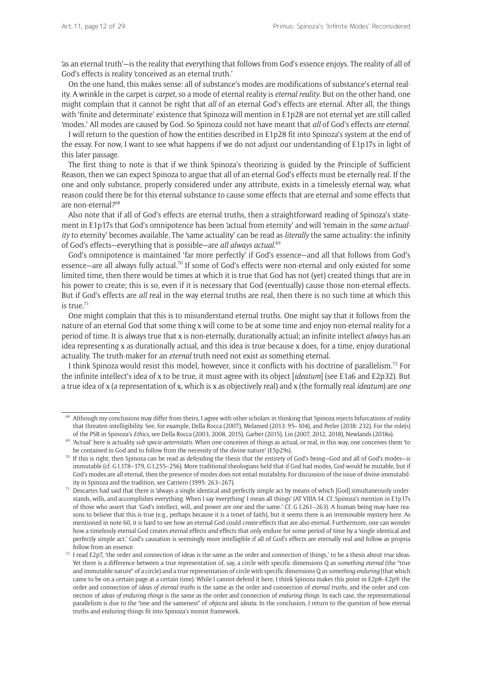'as an eternal truth'—is the reality that everything that follows from God's essence enjoys. The reality of all of God's effects is reality 'conceived as an eternal truth.'

On the one hand, this makes sense: all of substance's modes are modifications of substance's eternal reality. A wrinkle in the carpet is *carpet,* so a mode of eternal reality is *eternal reality*. But on the other hand, one might complain that it cannot be right that *all* of an eternal God's effects are eternal. After all, the things with 'finite and determinate' existence that Spinoza will mention in E1p28 are not eternal yet are still called 'modes.' All modes are caused by God. So Spinoza could not have meant that *all* of God's effects *are eternal*.

I will return to the question of how the entities described in E1p28 fit into Spinoza's system at the end of the essay. For now, I want to see what happens if we do not adjust our understanding of E1p17s in light of this later passage.

The first thing to note is that if we think Spinoza's theorizing is guided by the Principle of Sufficient Reason, then we can expect Spinoza to argue that all of an eternal God's effects must be eternally real. If the one and only substance, properly considered under any attribute, exists in a timelessly eternal way, what reason could there be for this eternal substance to cause some effects that are eternal and some effects that are non-eternal?68

Also note that if all of God's effects are eternal truths, then a straightforward reading of Spinoza's statement in E1p17s that God's omnipotence has been 'actual from eternity' and will 'remain in the *same actuality* to eternity' becomes available. The 'same actuality' can be read as *literally* the same actuality: the infinity of God's effects—everything that is possible—are *all always actual*. 69

God's omnipotence is maintained 'far more perfectly' if God's essence—and all that follows from God's essence—are all always fully actual.70 If some of God's effects were non-eternal and only existed for some limited time, then there would be times at which it is true that God has not (yet) created things that are in his power to create; this is so, even if it is necessary that God (eventually) cause those non-eternal effects. But if God's effects are *all* real in the way eternal truths are real, then there is no such time at which this is  $true<sup>71</sup>$ 

One might complain that this is to misunderstand eternal truths. One might say that it follows from the nature of an eternal God that some thing x will come to be at some time and enjoy non-eternal reality for a period of time. It is always true that x is non-eternally, durationally actual; an infinite intellect *always* has an idea representing x as durationally actual, and this idea is true because x does, for a time, enjoy durational actuality. The truth-maker for an *eternal* truth need not exist *as* something eternal.

I think Spinoza would resist this model, however, since it conflicts with his doctrine of parallelism.<sup>72</sup> For the infinite intellect's idea of x to be true, it must agree with its object [*ideatum*] (see E1a6 and E2p32). But a true idea of x (a representation of x, which is x as objectively real) and x (the formally real *ideatum*) are *one* 

<sup>&</sup>lt;sup>68</sup> Although my conclusions may differ from theirs, I agree with other scholars in thinking that Spinoza rejects bifurcations of reality that threaten intelligibility. See, for example, Della Rocca (2007), Melamed (2013: 95–104), and Perler (2018: 232). For the role(s)

of the PSR in Spinoza's *Ethics*, see Della Rocca (2003, 2008, 2015), Garber (2015), Lin (2007, 2012, 2018), Newlands (2018a).<br><sup>69</sup> 'Actual' here is actuality sub specie aeternitatis. When one conceives of things as actual be contained in God and to follow from the necessity of the divine nature' (E5p29s).

 $70$  If this is right, then Spinoza can be read as defending the thesis that the entirety of God's being-God and all of God's modes-is immutable (cf. G I.178–179, G I.255–256). More traditional theologians held that if God had modes, God would be mutable, but if God's modes are all eternal, then the presence of modes does not entail mutability. For discussion of the issue of divine immutability in Spinoza and the tradition, see Carriero (1995: 263–267).

 $\frac{71}{2}$  Descartes had said that there is 'always a single identical and perfectly simple act by means of which [God] simultaneously understands, wills, and accomplishes everything. When I say 'everything' I mean all things' (AT VIIIA.14. Cf. Spinoza's mention in E1p17s of those who assert that 'God's intellect, will, and power are one and the same.' Cf. G I.261–263). A human being may have reasons to believe that this is true (e.g., perhaps because it is a tenet of faith), but it seems there is an irremovable mystery here. As mentioned in note 60, it is hard to see how an eternal God could *create* effects that are also eternal. Furthermore, one can wonder how a timelessly eternal God creates eternal effects *and* effects that only endure for some period of time by a 'single identical and perfectly simple act.' God's causation is seemingly more intelligible if all of God's effects are eternally real and follow as propria follow from an essence.

<sup>72</sup> I read E2p7, 'the order and connection of ideas is the same as the order and connection of things,' to be a thesis about *true* ideas. Yet there is a difference between a true representation of, say, a circle with specific dimensions Q *as something eternal* (the "true and immutable nature" of a circle) and a true representation of circle with specific dimensions Q *as something enduring* (that which came to be on a certain page at a certain time). While I cannot defend it here, I think Spinoza makes this point in E2p8–E2p9: the order and connection of *ideas of eternal truths* is the same as the order and connection of *eternal truths,* and the order and connection of *ideas of enduring things* is the same as the order and connection of *enduring things*. In each case, the representational parallelism is due to the "one and the sameness" of *objecta* and *ideata.* In the conclusion, I return to the question of how eternal truths and enduring things fit into Spinoza's monist framework.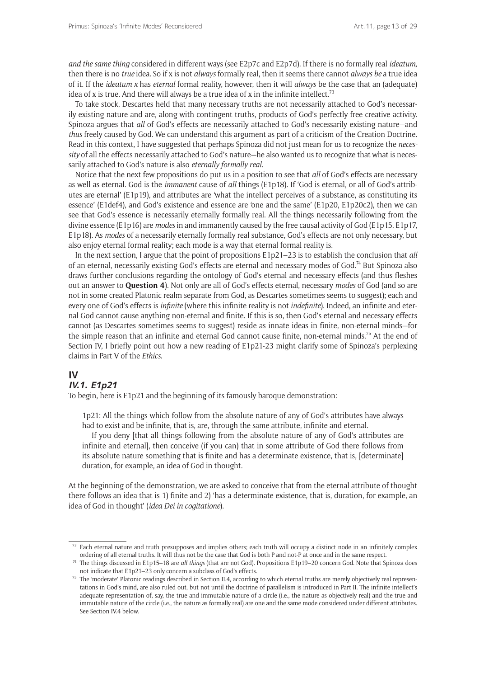*and the same thing* considered in different ways (see E2p7c and E2p7d). If there is no formally real *ideatum,*  then there is no *true* idea. So if x is not *always* formally real, then it seems there cannot *always be* a true idea of it. If the *ideatum x* has *eternal* formal reality, however, then it will *always* be the case that an (adequate) idea of x is true. And there will always be a true idea of x in the infinite intellect.<sup>73</sup>

To take stock, Descartes held that many necessary truths are not necessarily attached to God's necessarily existing nature and are, along with contingent truths, products of God's perfectly free creative activity. Spinoza argues that *all* of God's effects are necessarily attached to God's necessarily existing nature—and *thus* freely caused by God. We can understand this argument as part of a criticism of the Creation Doctrine. Read in this context, I have suggested that perhaps Spinoza did not just mean for us to recognize the *necessity* of all the effects necessarily attached to God's nature—he also wanted us to recognize that what is necessarily attached to God's nature is also *eternally formally real*.

Notice that the next few propositions do put us in a position to see that *all* of God's effects are necessary as well as eternal. God is the *immanent* cause of *all* things (E1p18). If 'God is eternal, or all of God's attributes are eternal' (E1p19)*,* and attributes are 'what the intellect perceives of a substance, as constituting its essence' (E1def4), and God's existence and essence are 'one and the same' (E1p20, E1p20c2), then we can see that God's essence is necessarily eternally formally real. All the things necessarily following from the divine essence (E1p16) are *modes* in and immanently caused by the free causal activity of God (E1p15, E1p17, E1p18). As *modes* of a necessarily eternally formally real substance, God's effects are not only necessary, but also enjoy eternal formal reality; each mode is a way that eternal formal reality is.

In the next section, I argue that the point of propositions E1p21–23 is to establish the conclusion that *all*  of an eternal, necessarily existing God's effects are eternal and necessary modes of God.74 But Spinoza also draws further conclusions regarding the ontology of God's eternal and necessary effects (and thus fleshes out an answer to **Question 4**). Not only are all of God's effects eternal, necessary *modes* of God (and so are not in some created Platonic realm separate from God, as Descartes sometimes seems to suggest); each and every one of God's effects is *infinite* (where this infinite reality is not *indefinite*). Indeed, an infinite and eternal God cannot cause anything non-eternal and finite. If this is so, then God's eternal and necessary effects cannot (as Descartes sometimes seems to suggest) reside as innate ideas in finite, non-eternal minds—for the simple reason that an infinite and eternal God cannot cause finite, non-eternal minds.<sup>75</sup> At the end of Section IV, I briefly point out how a new reading of E1p21-23 might clarify some of Spinoza's perplexing claims in Part V of the *Ethics*.

## **IV**

# **IV.1. E1p21**

To begin, here is E1p21 and the beginning of its famously baroque demonstration:

1p21: All the things which follow from the absolute nature of any of God's attributes have always had to exist and be infinite, that is, are, through the same attribute, infinite and eternal.

If you deny [that all things following from the absolute nature of any of God's attributes are infinite and eternal], then conceive (if you can) that in some attribute of God there follows from its absolute nature something that is finite and has a determinate existence, that is, [determinate] duration, for example, an idea of God in thought.

At the beginning of the demonstration, we are asked to conceive that from the eternal attribute of thought there follows an idea that is 1) finite and 2) 'has a determinate existence, that is, duration, for example, an idea of God in thought' (*idea Dei in cogitatione*).

 $73$  Each eternal nature and truth presupposes and implies others; each truth will occupy a distinct node in an infinitely complex ordering of all eternal truths. It will thus not be the case that God is both P and not-P at once and in the same respect.

<sup>74</sup> The things discussed in E1p15–18 are *all things* (that are not God)*.* Propositions E1p19–20 concern God. Note that Spinoza does

not indicate that E1p21–23 only concern a subclass of God's effects.<br><sup>75</sup> The 'moderate' Platonic readings described in Section II.4, according to which eternal truths are merely objectively real representations in God's mind, are also ruled out, but not until the doctrine of parallelism is introduced in Part II. The infinite intellect's adequate representation of, say, the true and immutable nature of a circle (i.e., the nature as objectively real) and the true and immutable nature of the circle (i.e., the nature as formally real) are one and the same mode considered under different attributes. See Section IV.4 below.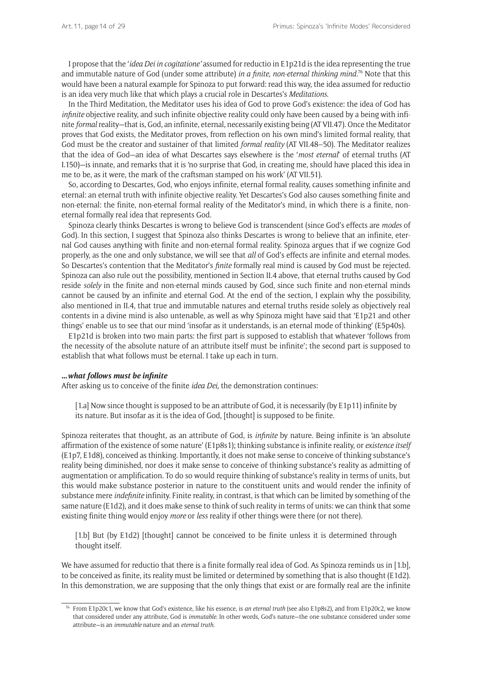I propose that the '*idea Dei in cogitatione'* assumed for reductio in E1p21d is the idea representing the true and immutable nature of God (under some attribute) *in a finite, non-eternal thinking mind.*<sup>76</sup> Note that this would have been a natural example for Spinoza to put forward: read this way, the idea assumed for reductio is an idea very much like that which plays a crucial role in Descartes's *Meditations*.

In the Third Meditation, the Meditator uses his idea of God to prove God's existence: the idea of God has *infinite* objective reality, and such infinite objective reality could only have been caused by a being with infinite *formal* reality—that is, God, an infinite, eternal, necessarily existing being (AT VII.47). Once the Meditator proves that God exists, the Meditator proves, from reflection on his own mind's limited formal reality, that God must be the creator and sustainer of that limited *formal reality* (AT VII.48–50). The Meditator realizes that the idea of God—an idea of what Descartes says elsewhere is the '*most eternal*' of eternal truths (AT I.150)—is innate, and remarks that it is 'no surprise that God, in creating me, should have placed this idea in me to be, as it were, the mark of the craftsman stamped on his work' (AT VII.51).

So, according to Descartes, God, who enjoys infinite, eternal formal reality, causes something infinite and eternal: an eternal truth with infinite objective reality. Yet Descartes's God also causes something finite and non-eternal: the finite, non-eternal formal reality of the Meditator's mind, in which there is a finite, noneternal formally real idea that represents God.

Spinoza clearly thinks Descartes is wrong to believe God is transcendent (since God's effects are *modes* of God). In this section, I suggest that Spinoza also thinks Descartes is wrong to believe that an infinite, eternal God causes anything with finite and non-eternal formal reality. Spinoza argues that if we cognize God properly, as the one and only substance, we will see that *all* of God's effects are infinite and eternal modes. So Descartes's contention that the Meditator's *finite* formally real mind is caused by God must be rejected. Spinoza can also rule out the possibility, mentioned in Section II.4 above, that eternal truths caused by God reside *solely* in the finite and non-eternal minds caused by God, since such finite and non-eternal minds cannot be caused by an infinite and eternal God. At the end of the section, I explain why the possibility, also mentioned in II.4, that true and immutable natures and eternal truths reside solely as objectively real contents in a divine mind is also untenable, as well as why Spinoza might have said that 'E1p21 and other things' enable us to see that our mind 'insofar as it understands, is an eternal mode of thinking' (E5p40s).

E1p21d is broken into two main parts: the first part is supposed to establish that whatever 'follows from the necessity of the absolute nature of an attribute itself must be infinite'; the second part is supposed to establish that what follows must be eternal. I take up each in turn.

#### **…***what follows must be infinite*

After asking us to conceive of the finite *idea Dei,* the demonstration continues:

[1.a] Now since thought is supposed to be an attribute of God, it is necessarily (by E1p11) infinite by its nature. But insofar as it is the idea of God, [thought] is supposed to be finite.

Spinoza reiterates that thought, as an attribute of God, is *infinite* by nature. Being infinite is 'an absolute affirmation of the existence of some nature' (E1p8s1); thinking substance is infinite reality, or *existence itself*  (E1p7, E1d8)*,* conceived as thinking. Importantly, it does not make sense to conceive of thinking substance's reality being diminished, nor does it make sense to conceive of thinking substance's reality as admitting of augmentation or amplification. To do so would require thinking of substance's reality in terms of units, but this would make substance posterior in nature to the constituent units and would render the infinity of substance mere *indefinite* infinity. Finite reality, in contrast, is that which can be limited by something of the same nature (E1d2), and it does make sense to think of such reality in terms of units: we can think that some existing finite thing would enjoy *more* or *less* reality if other things were there (or not there).

[1.b] But (by E1d2) [thought] cannot be conceived to be finite unless it is determined through thought itself.

We have assumed for reductio that there is a finite formally real idea of God. As Spinoza reminds us in [1.b], to be conceived as finite, its reality must be limited or determined by something that is also thought (E1d2). In this demonstration, we are supposing that the only things that exist or are formally real are the infinite

<sup>76</sup> From E1p20c1, we know that God's existence, like his essence, is *an eternal truth* (see also E1p8s2), and from E1p20c2, we know that considered under any attribute, God is *immutable*. In other words, God's nature—the one substance considered under some attribute—is an *immutable* nature and an *eternal truth.*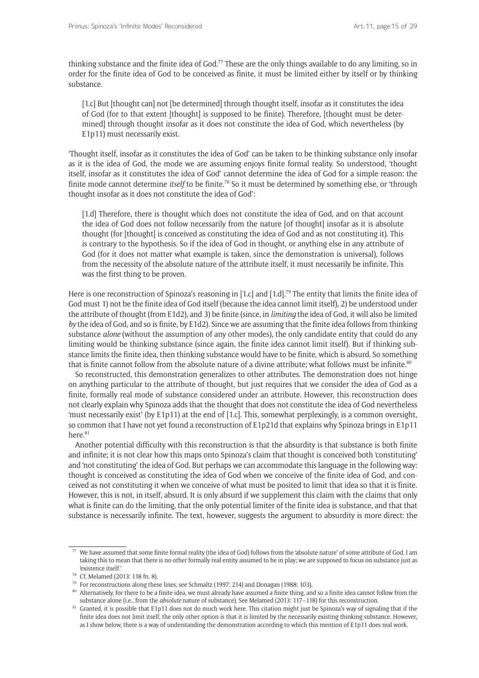thinking substance and the finite idea of God.<sup>77</sup> These are the only things available to do any limiting, so in order for the finite idea of God to be conceived as finite, it must be limited either by itself or by thinking substance.

[1.c] But [thought can] not [be determined] through thought itself, insofar as it constitutes the idea of God (for to that extent [thought] is supposed to be finite). Therefore, [thought must be determined] through thought insofar as it does not constitute the idea of God, which nevertheless (by E1p11) must necessarily exist.

'Thought itself, insofar as it constitutes the idea of God' can be taken to be thinking substance only insofar as it is the idea of God, the mode we are assuming enjoys finite formal reality. So understood, 'thought itself, insofar as it constitutes the idea of God' cannot determine the idea of God for a simple reason: the finite mode cannot determine *itself* to be finite.<sup>78</sup> So it must be determined by something else, or 'through thought insofar as it does not constitute the idea of God':

[1.d] Therefore, there is thought which does not constitute the idea of God, and on that account the idea of God does not follow necessarily from the nature [of thought] insofar as it is absolute thought (for [thought] is conceived as constituting the idea of God and as not constituting it). This is contrary to the hypothesis. So if the idea of God in thought, or anything else in any attribute of God (for it does not matter what example is taken, since the demonstration is universal), follows from the necessity of the absolute nature of the attribute itself, it must necessarily be infinite. This was the first thing to be proven.

Here is one reconstruction of Spinoza's reasoning in [1.c] and [1.d].<sup>79</sup> The entity that limits the finite idea of God must 1) not be the finite idea of God itself (because the idea cannot limit itself), 2) be understood under the attribute of thought (from E1d2), and 3) be finite (since, in *limiting* the idea of God, it will also be limited *by* the idea of God, and so is finite, by E1d2). Since we are assuming that the finite idea follows from thinking substance *alone* (without the assumption of any other modes), the only candidate entity that could do any limiting would be thinking substance (since again, the finite idea cannot limit itself). But if thinking substance limits the finite idea, then thinking substance would have to be finite, which is absurd. So something that is finite cannot follow from the absolute nature of a divine attribute; what follows must be infinite.<sup>80</sup>

So reconstructed, this demonstration generalizes to other attributes. The demonstration does not hinge on anything particular to the attribute of thought, but just requires that we consider the idea of God as a finite, formally real mode of substance considered under an attribute. However, this reconstruction does not clearly explain why Spinoza adds that the thought that does not constitute the idea of God nevertheless 'must necessarily exist' (by E1p11) at the end of [1.c]. This, somewhat perplexingly, is a common oversight, so common that I have not yet found a reconstruction of E1p21d that explains why Spinoza brings in E1p11 here. $81$ 

Another potential difficulty with this reconstruction is that the absurdity is that substance is both finite and infinite; it is not clear how this maps onto Spinoza's claim that thought is conceived both 'constituting' and 'not constituting' the idea of God. But perhaps we can accommodate this language in the following way: thought is conceived as constituting the idea of God when we conceive of the finite idea of God, and conceived as not constituting it when we conceive of what must be posited to limit that idea so that it is finite. However, this is not, in itself, absurd. It is only absurd if we supplement this claim with the claims that only what is finite can do the limiting, that the only potential limiter of the finite idea is substance, and that that substance is necessarily infinite. The text, however, suggests the argument to absurdity is more direct: the

<sup>77</sup> We have assumed that some finite formal reality (the idea of God) follows from the 'absolute nature' of some attribute of God. I am taking this to mean that there is no other formally real entity assumed to be in play; we are supposed to focus on substance just as 'existence itself.'

<sup>78</sup> Cf. Melamed (2013: 118 fn. 8).

<sup>79</sup> For reconstructions along these lines, see Schmaltz (1997: 214) and Donagan (1988: 103).

<sup>&</sup>lt;sup>80</sup> Alternatively, for there to be a finite idea, we must already have assumed a finite thing, and so a finite idea cannot follow from the substance alone (i.e., from the *absolute* nature of substance). See Melamed (2013: 117–118) for this reconstruction.

<sup>81</sup> Granted, it is possible that E1p11 does not do much work here. This citation might just be Spinoza's way of signaling that if the finite idea does not limit itself, the only other option is that it is limited by the necessarily existing thinking substance. However, as I show below, there is a way of understanding the demonstration according to which this mention of E1p11 does real work.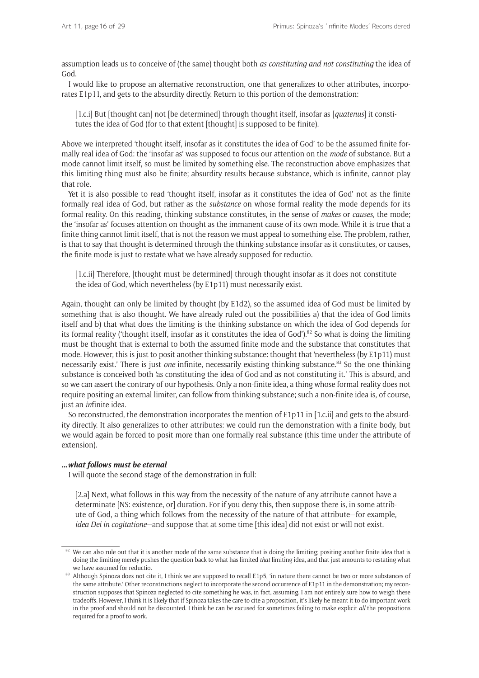assumption leads us to conceive of (the same) thought both *as constituting and not constituting* the idea of God.

I would like to propose an alternative reconstruction, one that generalizes to other attributes, incorporates E1p11, and gets to the absurdity directly. Return to this portion of the demonstration:

[1.c.i] But [thought can] not [be determined] through thought itself, insofar as [*quatenus*] it constitutes the idea of God (for to that extent [thought] is supposed to be finite).

Above we interpreted 'thought itself, insofar as it constitutes the idea of God' to be the assumed finite formally real idea of God: the 'insofar as' was supposed to focus our attention on the *mode* of substance. But a mode cannot limit itself, so must be limited by something else. The reconstruction above emphasizes that this limiting thing must also be finite; absurdity results because substance, which is infinite, cannot play that role.

Yet it is also possible to read 'thought itself, insofar as it constitutes the idea of God' not as the finite formally real idea of God, but rather as the *substance* on whose formal reality the mode depends for its formal reality. On this reading, thinking substance constitutes, in the sense of *makes* or *causes,* the mode; the 'insofar as' focuses attention on thought as the immanent cause of its own mode. While it is true that a finite thing cannot limit itself, that is not the reason we must appeal to something else. The problem, rather, is that to say that thought is determined through the thinking substance insofar as it constitutes, or causes, the finite mode is just to restate what we have already supposed for reductio.

[1.c.ii] Therefore, [thought must be determined] through thought insofar as it does not constitute the idea of God, which nevertheless (by E1p11) must necessarily exist.

Again, thought can only be limited by thought (by E1d2), so the assumed idea of God must be limited by something that is also thought. We have already ruled out the possibilities a) that the idea of God limits itself and b) that what does the limiting is the thinking substance on which the idea of God depends for its formal reality ('thought itself, insofar as it constitutes the idea of God').82 So what is doing the limiting must be thought that is external to both the assumed finite mode and the substance that constitutes that mode. However, this is just to posit another thinking substance: thought that 'nevertheless (by E1p11) must necessarily exist.' There is just *one* infinite, necessarily existing thinking substance.83 So the one thinking substance is conceived both 'as constituting the idea of God and as not constituting it.' This is absurd, and so we can assert the contrary of our hypothesis. Only a non-finite idea, a thing whose formal reality does not require positing an external limiter, can follow from thinking substance; such a non-finite idea is, of course, just an *in*finite idea.

So reconstructed, the demonstration incorporates the mention of E1p11 in [1.c.ii] and gets to the absurdity directly. It also generalizes to other attributes: we could run the demonstration with a finite body, but we would again be forced to posit more than one formally real substance (this time under the attribute of extension).

#### **…***what follows must be eternal*

I will quote the second stage of the demonstration in full:

[2.a] Next, what follows in this way from the necessity of the nature of any attribute cannot have a determinate [NS: existence, or] duration. For if you deny this, then suppose there is, in some attribute of God, a thing which follows from the necessity of the nature of that attribute—for example, *idea Dei in cogitatione—*and suppose that at some time [this idea] did not exist or will not exist.

 $82$  We can also rule out that it is another mode of the same substance that is doing the limiting; positing another finite idea that is doing the limiting merely pushes the question back to what has limited *that* limiting idea, and that just amounts to restating what we have assumed for reductio.

<sup>83</sup> Although Spinoza does not cite it, I think we are supposed to recall E1p5, 'in nature there cannot be two or more substances of the same attribute.' Other reconstructions neglect to incorporate the second occurrence of E1p11 in the demonstration; my reconstruction supposes that Spinoza neglected to cite something he was, in fact, assuming. I am not entirely sure how to weigh these tradeoffs. However, I think it is likely that if Spinoza takes the care to cite a proposition, it's likely he meant it to do important work in the proof and should not be discounted. I think he can be excused for sometimes failing to make explicit *all* the propositions required for a proof to work.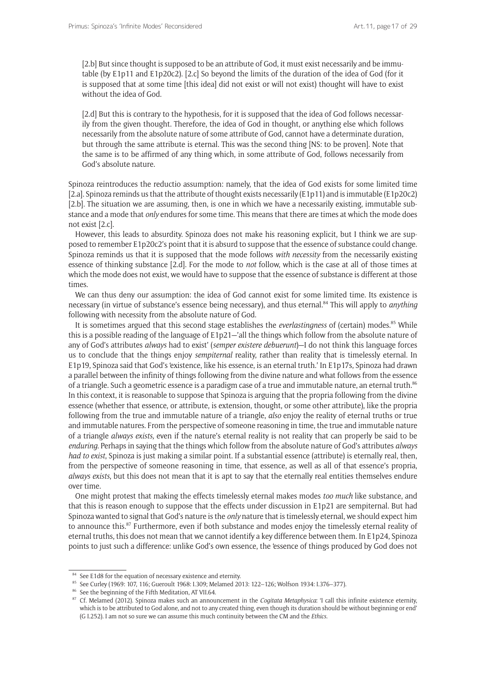[2.b] But since thought is supposed to be an attribute of God, it must exist necessarily and be immutable (by E1p11 and E1p20c2). [2.c] So beyond the limits of the duration of the idea of God (for it is supposed that at some time [this idea] did not exist or will not exist) thought will have to exist without the idea of God.

[2.d] But this is contrary to the hypothesis, for it is supposed that the idea of God follows necessarily from the given thought. Therefore, the idea of God in thought, or anything else which follows necessarily from the absolute nature of some attribute of God, cannot have a determinate duration, but through the same attribute is eternal. This was the second thing [NS: to be proven]. Note that the same is to be affirmed of any thing which, in some attribute of God, follows necessarily from God's absolute nature.

Spinoza reintroduces the reductio assumption: namely, that the idea of God exists for some limited time [2.a]. Spinoza reminds us that the attribute of thought exists necessarily (E1p11) and is immutable (E1p20c2) [2.b]. The situation we are assuming, then, is one in which we have a necessarily existing, immutable substance and a mode that *only* endures for some time. This means that there are times at which the mode does not exist [2.c].

However, this leads to absurdity. Spinoza does not make his reasoning explicit, but I think we are supposed to remember E1p20c2's point that it is absurd to suppose that the essence of substance could change. Spinoza reminds us that it is supposed that the mode follows *with necessity* from the necessarily existing essence of thinking substance [2.d]. For the mode to *not* follow, which is the case at all of those times at which the mode does not exist, we would have to suppose that the essence of substance is different at those times.

We can thus deny our assumption: the idea of God cannot exist for some limited time. Its existence is necessary (in virtue of substance's essence being necessary), and thus eternal.84 This will apply to *anything*  following with necessity from the absolute nature of God.

It is sometimes argued that this second stage establishes the *everlastingness* of (certain) modes.<sup>85</sup> While this is a possible reading of the language of E1p21—'all the things which follow from the absolute nature of any of God's attributes *always* had to exist' (*semper existere debuerunt*)—I do not think this language forces us to conclude that the things enjoy *sempiternal* reality, rather than reality that is timelessly eternal. In E1p19, Spinoza said that God's 'existence, like his essence, is an eternal truth.' In E1p17s, Spinoza had drawn a parallel between the infinity of things following from the divine nature and what follows from the essence of a triangle. Such a geometric essence is a paradigm case of a true and immutable nature, an eternal truth.<sup>86</sup> In this context, it is reasonable to suppose that Spinoza is arguing that the propria following from the divine essence (whether that essence, or attribute, is extension, thought, or some other attribute), like the propria following from the true and immutable nature of a triangle, *also* enjoy the reality of eternal truths or true and immutable natures. From the perspective of someone reasoning in time, the true and immutable nature of a triangle *always exists,* even if the nature's eternal reality is not reality that can properly be said to be *enduring*. Perhaps in saying that the things which follow from the absolute nature of God's attributes *always had to exist*, Spinoza is just making a similar point. If a substantial essence (attribute) is eternally real, then, from the perspective of someone reasoning in time, that essence, as well as all of that essence's propria, *always exists*, but this does not mean that it is apt to say that the eternally real entities themselves endure over time.

One might protest that making the effects timelessly eternal makes modes *too much* like substance, and that this is reason enough to suppose that the effects under discussion in E1p21 are sempiternal. But had Spinoza wanted to signal that God's nature is the *only* nature that is timelessly eternal, we should expect him to announce this.<sup>87</sup> Furthermore, even if both substance and modes enjoy the timelessly eternal reality of eternal truths, this does not mean that we cannot identify a key difference between them. In E1p24, Spinoza points to just such a difference: unlike God's own essence, the 'essence of things produced by God does not

<sup>&</sup>lt;sup>84</sup> See E1d8 for the equation of necessary existence and eternity.

<sup>85</sup> See Curley (1969: 107, 116; Gueroult 1968: I.309; Melamed 2013: 122–126; Wolfson 1934: I.376–377).

<sup>86</sup> See the beginning of the Fifth Meditation, AT VII.64.

<sup>87</sup> Cf. Melamed (2012). Spinoza makes such an announcement in the *Cogitata Metaphysica*: 'I call this infinite existence eternity, which is to be attributed to God alone, and not to any created thing, even though its duration should be without beginning or end' (G I.252). I am not so sure we can assume this much continuity between the CM and the *Ethics.*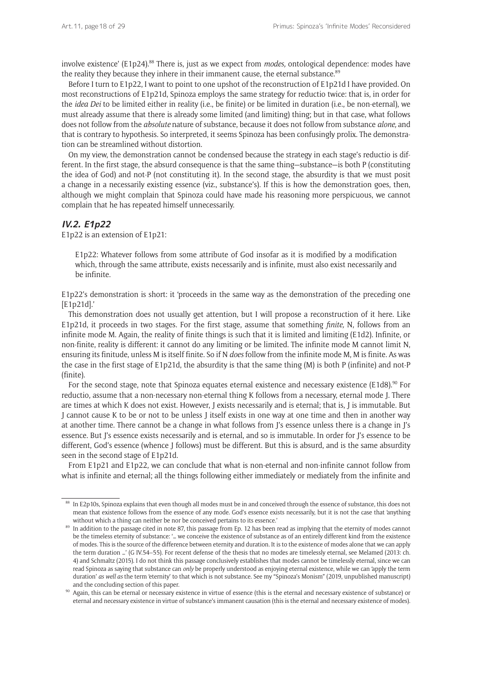involve existence' (E1p24).<sup>88</sup> There is, just as we expect from *modes*, ontological dependence: modes have the reality they because they inhere in their immanent cause, the eternal substance.<sup>89</sup>

Before I turn to E1p22, I want to point to one upshot of the reconstruction of E1p21d I have provided. On most reconstructions of E1p21d, Spinoza employs the same strategy for reductio twice: that is, in order for the *idea Dei* to be limited either in reality (i.e., be finite) or be limited in duration (i.e., be non-eternal), we must already assume that there is already some limited (and limiting) thing; but in that case, what follows does not follow from the *absolute* nature of substance, because it does not follow from substance *alone,* and that is contrary to hypothesis. So interpreted, it seems Spinoza has been confusingly prolix. The demonstration can be streamlined without distortion.

On my view, the demonstration cannot be condensed because the strategy in each stage's reductio is different. In the first stage, the absurd consequence is that the same thing—substance—is both P (constituting the idea of God) and not-P (not constituting it). In the second stage, the absurdity is that we must posit a change in a necessarily existing essence (viz., substance's). If this is how the demonstration goes, then, although we might complain that Spinoza could have made his reasoning more perspicuous, we cannot complain that he has repeated himself unnecessarily.

## **IV.2. E1p22**

E1p22 is an extension of E1p21:

E1p22: Whatever follows from some attribute of God insofar as it is modified by a modification which, through the same attribute, exists necessarily and is infinite, must also exist necessarily and be infinite.

E1p22's demonstration is short: it 'proceeds in the same way as the demonstration of the preceding one [E1p21d].'

This demonstration does not usually get attention, but I will propose a reconstruction of it here. Like E1p21d, it proceeds in two stages. For the first stage, assume that something *finite,* N, follows from an infinite mode M. Again, the reality of finite things is such that it is limited and limiting (E1d2). Infinite, or non-finite, reality is different: it cannot do any limiting or be limited. The infinite mode M cannot limit N, ensuring its finitude, unless M is itself finite. So if N *does* follow from the infinite mode M, M is finite. As was the case in the first stage of E1p21d, the absurdity is that the same thing (M) is both P (infinite) and not-P (finite).

For the second stage, note that Spinoza equates eternal existence and necessary existence (E1d8).<sup>90</sup> For reductio, assume that a non-necessary non-eternal thing K follows from a necessary, eternal mode J. There are times at which K does not exist. However, J exists necessarily and is eternal; that is, J is immutable. But J cannot cause K to be or not to be unless J itself exists in one way at one time and then in another way at another time. There cannot be a change in what follows from J's essence unless there is a change in J's essence. But J's essence exists necessarily and is eternal, and so is immutable. In order for J's essence to be different, God's essence (whence J follows) must be different. But this is absurd, and is the same absurdity seen in the second stage of E1p21d.

From E1p21 and E1p22, we can conclude that what is non-eternal and non-infinite cannot follow from what is infinite and eternal; all the things following either immediately or mediately from the infinite and

<sup>&</sup>lt;sup>88</sup> In E2p10s, Spinoza explains that even though all modes must be in and conceived through the essence of substance, this does not mean that existence follows from the essence of any mode. God's essence exists necessarily, but it is not the case that 'anything without which a thing can neither be nor be conceived pertains to its essence.'

<sup>89</sup> In addition to the passage cited in note 87, this passage from Ep. 12 has been read as implying that the eternity of modes cannot be the timeless eternity of substance: '… we conceive the existence of substance as of an entirely different kind from the existence of modes. This is the source of the difference between eternity and duration. It is to the existence of modes alone that we can apply the term duration …' (G IV.54–55). For recent defense of the thesis that no modes are timelessly eternal, see Melamed (2013: ch. 4) and Schmaltz (2015). I do not think this passage conclusively establishes that modes cannot be timelessly eternal, since we can read Spinoza as saying that substance can *only* be properly understood as enjoying eternal existence, while we can 'apply the term duration' *as well as* the term 'eternity' to that which is not substance. See my "Spinoza's Monism" (2019, unpublished manuscript) and the concluding section of this paper.<br>Again, this can be eternal or necessary existence in virtue of essence (this is the eternal and necessary existence of substance) or

eternal and necessary existence in virtue of substance's immanent causation (this is the eternal and necessary existence of modes).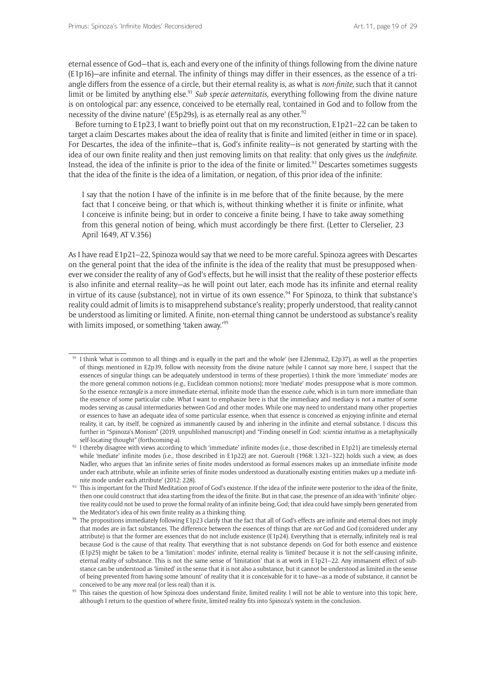eternal essence of God—that is, each and every one of the infinity of things following from the divine nature (E1p16)—are infinite and eternal. The infinity of things may differ in their essences, as the essence of a triangle differs from the essence of a circle, but their eternal reality is, as what is *non-finite,* such that it cannot limit or be limited by anything else.<sup>91</sup> *Sub specie aeternitatis*, everything following from the divine nature is on ontological par: any essence, conceived to be eternally real, 'contained in God and to follow from the necessity of the divine nature' (E5p29s), is as eternally real as any other.<sup>92</sup>

Before turning to E1p23, I want to briefly point out that on my reconstruction, E1p21–22 can be taken to target a claim Descartes makes about the idea of reality that is finite and limited (either in time or in space). For Descartes, the idea of the infinite—that is, God's infinite reality—is not generated by starting with the idea of our own finite reality and then just removing limits on that reality: that only gives us the *indefinite.*  Instead, the idea of the infinite is prior to the idea of the finite or limited.<sup>93</sup> Descartes sometimes suggests that the idea of the finite is the idea of a limitation, or negation, of this prior idea of the infinite:

I say that the notion I have of the infinite is in me before that of the finite because, by the mere fact that I conceive being, or that which is, without thinking whether it is finite or infinite, what I conceive is infinite being; but in order to conceive a finite being, I have to take away something from this general notion of being, which must accordingly be there first. (Letter to Clerselier, 23 April 1649, AT V.356)

As I have read E1p21–22, Spinoza would say that we need to be more careful. Spinoza agrees with Descartes on the general point that the idea of the infinite is the idea of the reality that must be presupposed whenever we consider the reality of any of God's effects, but he will insist that the reality of these posterior effects is also infinite and eternal reality—as he will point out later, each mode has its infinite and eternal reality in virtue of its cause (substance), not in virtue of its own essence.<sup>94</sup> For Spinoza, to think that substance's reality could admit of limits is to misapprehend substance's reality; properly understood, that reality cannot be understood as limiting or limited. A finite, non-eternal thing cannot be understood as substance's reality with limits imposed, or something 'taken away.'<sup>95</sup>

 $91$  I think 'what is common to all things and is equally in the part and the whole' (see E2lemma2, E2p37), as well as the properties of things mentioned in E2p39, follow with necessity from the divine nature (while I cannot say more here, I suspect that the essences of singular things can be adequately understood in terms of these properties). I think the more 'immediate' modes are the more general common notions (e.g., Euclidean common notions); more 'mediate' modes presuppose what is more common. So the essence *rectangle* is a more immediate eternal, infinite mode than the essence *cube,* which is in turn more immediate than the essence of some particular cube. What I want to emphasize here is that the immediacy and mediacy is not a matter of some modes serving as causal intermediaries between God and other modes. While one may need to understand many other properties or essences to have an adequate idea of some particular essence, when that essence is conceived as enjoying infinite and eternal reality, it can, by itself, be cognized as immanently caused by and inhering in the infinite and eternal substance. I discuss this further in "Spinoza's Monism" (2019, unpublished manuscript) and "Finding oneself in God: *scientia intuitiva* as a metaphysically self-locating thought" (forthcoming-a).

<sup>92</sup> I thereby disagree with views according to which 'immediate' infinite modes (i.e., those described in E1p21) are timelessly eternal while 'mediate' infinite modes (i.e., those described in E1p22) are not. Gueroult (1968: I.321-322) holds such a view, as does Nadler, who argues that 'an infinite series of finite modes understood as formal essences makes up an immediate infinite mode under each attribute, while an infinite series of finite modes understood as durationally existing entities makes up a mediate infi-

nite mode under each attribute' (2012: 228). We also say the idea of the infinite were posterior to the idea of the finite,  $93$  This is important for the Third Meditation proof of God's existence. If the idea of the infi then one could construct that idea starting from the idea of the finite. But in that case, the presence of an idea with 'infinite' objective reality could not be used to prove the formal reality of an infinite being, God; that idea could have simply been generated from the Meditator's idea of his own finite reality as a thinking thing.

<sup>94</sup> The propositions immediately following E1p23 clarify that the fact that all of God's effects are infinite and eternal does not imply that modes are in fact substances. The difference between the essences of things that are *not* God and God (considered under any attribute) is that the former are essences that do not include existence (E1p24). Everything that is eternally, infinitely real is real because God is the cause of that reality. That everything that is not substance depends on God for both essence and existence (E1p25) might be taken to be a 'limitation': modes' infinite, eternal reality is 'limited' because it is not the self-causing infinite, eternal reality of substance. This is not the same sense of 'limitation' that is at work in E1p21–22. Any immanent effect of substance can be understood as 'limited' in the sense that it is not also a substance, but it cannot be understood as limited in the sense of being prevented from having some 'amount' of reality that it is conceivable for it to have—as a mode of substance, it cannot be

conceived to be any *more* real (or less real) than it is. 95 This raises the question of how Spinoza does understand finite, limited reality. I will not be able to venture into this topic here, although I return to the question of where finite, limited reality fits into Spinoza's system in the conclusion.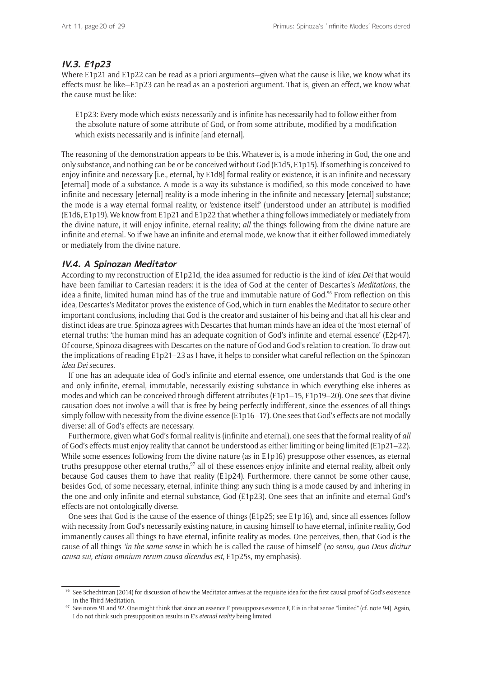# **IV.3. E1p23**

Where E1p21 and E1p22 can be read as a priori arguments—given what the cause is like, we know what its effects must be like—E1p23 can be read as an a posteriori argument. That is, given an effect, we know what the cause must be like:

E1p23: Every mode which exists necessarily and is infinite has necessarily had to follow either from the absolute nature of some attribute of God, or from some attribute, modified by a modification which exists necessarily and is infinite [and eternal].

The reasoning of the demonstration appears to be this. Whatever is, is a mode inhering in God, the one and only substance, and nothing can be or be conceived without God (E1d5, E1p15). If something is conceived to enjoy infinite and necessary [i.e., eternal, by E1d8] formal reality or existence, it is an infinite and necessary [eternal] mode of a substance. A mode is a way its substance is modified, so this mode conceived to have infinite and necessary [eternal] reality is a mode inhering in the infinite and necessary [eternal] substance; the mode is a way eternal formal reality, or 'existence itself' (understood under an attribute) is modified (E1d6, E1p19). We know from E1p21 and E1p22 that whether a thing follows immediately or mediately from the divine nature, it will enjoy infinite, eternal reality; *all* the things following from the divine nature are infinite and eternal. So if we have an infinite and eternal mode, we know that it either followed immediately or mediately from the divine nature.

## **IV.4. A Spinozan Meditator**

According to my reconstruction of E1p21d, the idea assumed for reductio is the kind of *idea Dei* that would have been familiar to Cartesian readers: it is the idea of God at the center of Descartes's *Meditations*, the idea a finite, limited human mind has of the true and immutable nature of God.<sup>96</sup> From reflection on this idea, Descartes's Meditator proves the existence of God, which in turn enables the Meditator to secure other important conclusions, including that God is the creator and sustainer of his being and that all his clear and distinct ideas are true. Spinoza agrees with Descartes that human minds have an idea of the 'most eternal' of eternal truths: 'the human mind has an adequate cognition of God's infinite and eternal essence' (E2p47). Of course, Spinoza disagrees with Descartes on the nature of God and God's relation to creation. To draw out the implications of reading E1p21–23 as I have, it helps to consider what careful reflection on the Spinozan *idea Dei* secures.

If one has an adequate idea of God's infinite and eternal essence, one understands that God is the one and only infinite, eternal, immutable, necessarily existing substance in which everything else inheres as modes and which can be conceived through different attributes (E1p1–15, E1p19–20). One sees that divine causation does not involve a will that is free by being perfectly indifferent, since the essences of all things simply follow with necessity from the divine essence (E1p16–17). One sees that God's effects are not modally diverse: all of God's effects are necessary.

Furthermore, given what God's formal reality is (infinite and eternal), one sees that the formal reality of *all* of God's effects must enjoy reality that cannot be understood as either limiting or being limited (E1p21–22). While some essences following from the divine nature (as in E1p16) presuppose other essences, as eternal truths presuppose other eternal truths,<sup>97</sup> all of these essences enjoy infinite and eternal reality, albeit only because God causes them to have that reality (E1p24). Furthermore, there cannot be some other cause, besides God, of some necessary, eternal, infinite thing: any such thing is a mode caused by and inhering in the one and only infinite and eternal substance, God (E1p23). One sees that an infinite and eternal God's effects are not ontologically diverse.

One sees that God is the cause of the essence of things (E1p25; see E1p16), and, since all essences follow with necessity from God's necessarily existing nature, in causing himself to have eternal, infinite reality, God immanently causes all things to have eternal, infinite reality as modes. One perceives, then, that God is the cause of all things *'in the same sense* in which he is called the cause of himself' (*eo sensu, quo Deus dicitur causa sui, etiam omnium rerum causa dicendus est*, E1p25s, my emphasis).

<sup>96</sup> See Schechtman (2014) for discussion of how the Meditator arrives at the requisite idea for the first causal proof of God's existence in the Third Meditation.

<sup>&</sup>lt;sup>97</sup> See notes 91 and 92. One might think that since an essence E presupposes essence F, E is in that sense "limited" (cf. note 94). Again, I do not think such presupposition results in E's *eternal reality* being limited.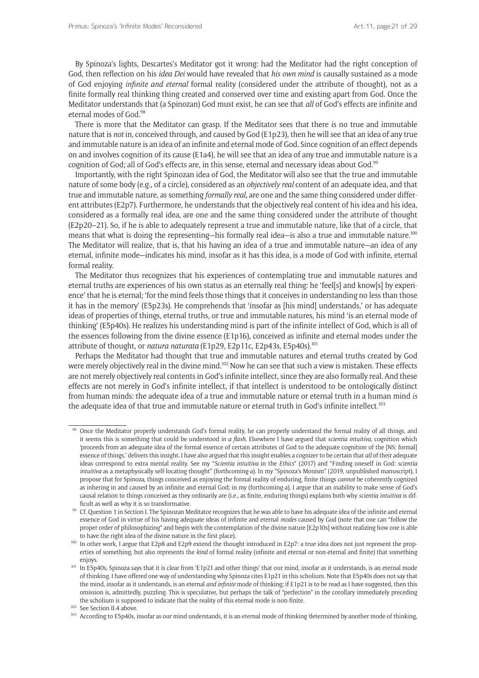By Spinoza's lights, Descartes's Meditator got it wrong: had the Meditator had the right conception of God, then reflection on his *idea Dei* would have revealed that *his own mind* is causally sustained as a mode of God enjoying *infinite and eternal* formal reality (considered under the attribute of thought), not as a finite formally real thinking thing created and conserved over time and existing apart from God. Once the Meditator understands that (a Spinozan) God must exist, he can see that *all* of God's effects are infinite and eternal modes of God.98

There is more that the Meditator can grasp. If the Meditator sees that there is no true and immutable nature that is *not* in, conceived through, and caused by God (E1p23), then he will see that an idea of any true and immutable nature is an idea of an infinite and eternal mode of God. Since cognition of an effect depends on and involves cognition of its cause (E1a4), he will see that an idea of any true and immutable nature is a cognition of God; all of God's effects are, in this sense, eternal and necessary ideas about God.<sup>99</sup>

Importantly, with the right Spinozan idea of God, the Meditator will also see that the true and immutable nature of some body (e.g., of a circle), considered as an *objectively real* content of an adequate idea, and that true and immutable nature*,* as something *formally real*, are one and the same thing considered under different attributes (E2p7). Furthermore, he understands that the objectively real content of his idea and his idea, considered as a formally real idea, are one and the same thing considered under the attribute of thought (E2p20–21). So, if he is able to adequately represent a true and immutable nature, like that of a circle, that means that what is doing the representing—his formally real idea—is also a true and immutable nature.<sup>100</sup> The Meditator will realize, that is, that his having an idea of a true and immutable nature—an idea of any eternal, infinite mode—indicates his mind, insofar as it has this idea, is a mode of God with infinite, eternal formal reality.

The Meditator thus recognizes that his experiences of contemplating true and immutable natures and eternal truths are experiences of his own status as an eternally real thing: he 'feel[s] and know[s] by experience' that he is eternal; 'for the mind feels those things that it conceives in understanding no less than those it has in the memory' (E5p23s). He comprehends that 'insofar as [his mind] understands,' or has adequate ideas of properties of things, eternal truths, or true and immutable natures, his mind 'is an eternal mode of thinking' (E5p40s). He realizes his understanding mind is part of the infinite intellect of God, which is all of the essences following from the divine essence (E1p16), conceived as infinite and eternal modes under the attribute of thought, or *natura naturata* (E1p29, E2p11c, E2p43s, E5p40s).101

Perhaps the Meditator had thought that true and immutable natures and eternal truths created by God were merely objectively real in the divine mind.102 Now he can see that such a view is mistaken. These effects are not merely objectively real contents in God's infinite intellect, since they are also formally real. And these effects are not merely in God's infinite intellect, if that intellect is understood to be ontologically distinct from human minds: the adequate idea of a true and immutable nature or eternal truth in a human mind *is* the adequate idea of that true and immutable nature or eternal truth in God's infinite intellect.<sup>103</sup>

<sup>98</sup> Once the Meditator properly understands God's formal reality, he can properly understand the formal reality of all things, and it seems this is something that could be understood *in a flash*. Elsewhere I have argued that *scientia intuitiva,* cognition which 'proceeds from an adequate idea of the formal essence of certain attributes of God to the adequate cognition of the [NS: formal] essence of things,' delivers this insight. I have also argued that this insight enables a cognizer to be certain that *all* of their adequate ideas correspond to extra mental reality. See my "*Scientia intuitiva* in the *Ethics*" (2017) and "Finding oneself in God: *scientia intuitiva* as a metaphysically self-locating thought" (forthcoming-a). In my "Spinoza's Monism" (2019, unpublished manuscript), I propose that for Spinoza, things conceived as enjoying the formal reality of enduring, finite things *cannot* be coherently cognized as inhering in and caused by an infinite and eternal God; in my (forthcoming-a), I argue that an inability to make sense of God's causal relation to things conceived as they ordinarily are (i.e., as finite, enduring things) explains both why *scientia intuitiva* is difficult as well as why it is so transformative.<br><sup>99</sup> Cf. Question 1 in Section I. The Spinozan Meditator recognizes that he was able to have his adequate idea of the infinite and eternal

essence of God in virtue of his having adequate ideas of infinite and eternal *modes* caused by God (note that one can "follow the proper order of philosophizing" and begin with the contemplation of the divine nature [E2p10s] without realizing how one is able

to have the right idea of the divine nature in the first place).  $100$  In other work, I argue that E2p8 and E2p9 extend the thought introduced in E2p7: a true idea does not just represent the properties of something, but also represents the *kind* of formal reality (infinite and eternal or non-eternal and finite) that something enjoys. 101 In E5p40s, Spinoza says that it is clear from 'E1p21 and other things' that our mind, insofar as it understands, is an eternal mode

of thinking. I have offered one way of understanding why Spinoza cites E1p21 in this scholium. Note that E5p40s does not say that the mind, insofar as it understands, is an eternal *and infinite* mode of thinking; if E1p21 is to be read as I have suggested, then this omission is, admittedly, puzzling. This is speculative, but perhaps the talk of "perfection" in the corollary immediately preceding the scholium is supposed to indicate that the reality of this eternal mode is non-finite. <sup>102</sup> See Section II.4 above.

<sup>103</sup> According to E5p40s, insofar as our mind understands, it is an eternal mode of thinking 'determined by another mode of thinking,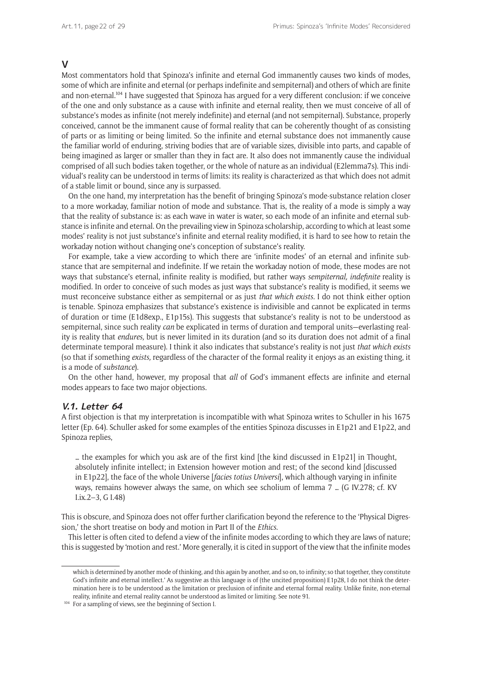#### **V**

Most commentators hold that Spinoza's infinite and eternal God immanently causes two kinds of modes, some of which are infinite and eternal (or perhaps indefinite and sempiternal) and others of which are finite and non-eternal.<sup>104</sup> I have suggested that Spinoza has argued for a very different conclusion: if we conceive of the one and only substance as a cause with infinite and eternal reality, then we must conceive of all of substance's modes as infinite (not merely indefinite) and eternal (and not sempiternal). Substance, properly conceived, cannot be the immanent cause of formal reality that can be coherently thought of as consisting of parts or as limiting or being limited. So the infinite and eternal substance does not immanently cause the familiar world of enduring, striving bodies that are of variable sizes, divisible into parts, and capable of being imagined as larger or smaller than they in fact are. It also does not immanently cause the individual comprised of all such bodies taken together, or the whole of nature as an individual (E2lemma7s). This individual's reality can be understood in terms of limits: its reality is characterized as that which does not admit of a stable limit or bound, since any is surpassed.

On the one hand, my interpretation has the benefit of bringing Spinoza's mode-substance relation closer to a more workaday, familiar notion of mode and substance. That is, the reality of a mode is simply a way that the reality of substance is: as each wave in water is water, so each mode of an infinite and eternal substance is infinite and eternal. On the prevailing view in Spinoza scholarship, according to which at least some modes' reality is not just substance's infinite and eternal reality modified, it is hard to see how to retain the workaday notion without changing one's conception of substance's reality.

For example, take a view according to which there are 'infinite modes' of an eternal and infinite substance that are sempiternal and indefinite. If we retain the workaday notion of mode, these modes are not ways that substance's eternal, infinite reality is modified, but rather ways *sempiternal, indefinite* reality is modified. In order to conceive of such modes as just ways that substance's reality is modified, it seems we must reconceive substance either as sempiternal or as just *that which exists.* I do not think either option is tenable. Spinoza emphasizes that substance's existence is indivisible and cannot be explicated in terms of duration or time (E1d8exp., E1p15s). This suggests that substance's reality is not to be understood as sempiternal, since such reality *can* be explicated in terms of duration and temporal units—everlasting reality is reality that *endures,* but is never limited in its duration (and so its duration does not admit of a final determinate temporal measure). I think it also indicates that substance's reality is not just *that which exists*  (so that if something *exists,* regardless of the character of the formal reality it enjoys as an existing thing, it is a mode of *substance*).

On the other hand, however, my proposal that *all* of God's immanent effects are infinite and eternal modes appears to face two major objections.

#### **V.1. Letter 64**

A first objection is that my interpretation is incompatible with what Spinoza writes to Schuller in his 1675 letter (Ep. 64). Schuller asked for some examples of the entities Spinoza discusses in E1p21 and E1p22, and Spinoza replies,

… the examples for which you ask are of the first kind [the kind discussed in E1p21] in Thought, absolutely infinite intellect; in Extension however motion and rest; of the second kind [discussed in E1p22], the face of the whole Universe [*facies totius Universi*], which although varying in infinite ways, remains however always the same, on which see scholium of lemma 7 … (G IV.278; cf. KV I.ix.2–3, G I.48)

This is obscure, and Spinoza does not offer further clarification beyond the reference to the 'Physical Digression,' the short treatise on body and motion in Part II of the *Ethics*.

This letter is often cited to defend a view of the infinite modes according to which they are laws of nature; this is suggested by 'motion and rest.' More generally, it is cited in support of the view that the infinite modes

which is determined by another mode of thinking, and this again by another, and so on, to infinity; so that together, they constitute God's infinite and eternal intellect.' As suggestive as this language is of (the uncited proposition) E1p28, I do not think the determination here is to be understood as the limitation or preclusion of infinite and eternal formal reality. Unlike finite, non-eternal reality, infinite and eternal reality cannot be understood as limited or limiting. See note 91.

<sup>&</sup>lt;sup>104</sup> For a sampling of views, see the beginning of Section I.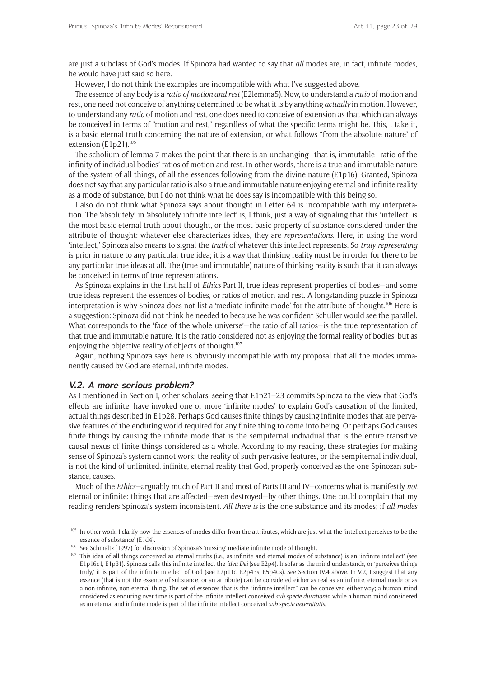are just a subclass of God's modes. If Spinoza had wanted to say that *all* modes are, in fact, infinite modes, he would have just said so here.

However, I do not think the examples are incompatible with what I've suggested above.

The essence of any body is a *ratio of motion and rest* (E2lemma5). Now, to understand a *ratio* of motion and rest, one need not conceive of anything determined to be what it is by anything *actually* in motion. However, to understand any *ratio* of motion and rest, one does need to conceive of extension as that which can always be conceived in terms of "motion and rest," regardless of what the specific terms might be. This, I take it, is a basic eternal truth concerning the nature of extension, or what follows "from the absolute nature" of extension (E1p21).<sup>105</sup>

The scholium of lemma 7 makes the point that there is an unchanging—that is, immutable—ratio of the infinity of individual bodies' ratios of motion and rest. In other words, there is a true and immutable nature of the system of all things, of all the essences following from the divine nature (E1p16). Granted, Spinoza does not say that any particular ratio is also a true and immutable nature enjoying eternal and infinite reality as a mode of substance, but I do not think what he does say is incompatible with this being so.

I also do not think what Spinoza says about thought in Letter 64 is incompatible with my interpretation. The 'absolutely' in 'absolutely infinite intellect' is, I think, just a way of signaling that this 'intellect' is the most basic eternal truth about thought, or the most basic property of substance considered under the attribute of thought: whatever else characterizes ideas, they are *representations*. Here, in using the word 'intellect,' Spinoza also means to signal the *truth* of whatever this intellect represents. So *truly representing*  is prior in nature to any particular true idea; it is a way that thinking reality must be in order for there to be any particular true ideas at all. The (true and immutable) nature of thinking reality is such that it can always be conceived in terms of true representations.

As Spinoza explains in the first half of *Ethics* Part II, true ideas represent properties of bodies—and some true ideas represent the essences of bodies, or ratios of motion and rest. A longstanding puzzle in Spinoza interpretation is why Spinoza does not list a 'mediate infinite mode' for the attribute of thought.106 Here is a suggestion: Spinoza did not think he needed to because he was confident Schuller would see the parallel. What corresponds to the 'face of the whole universe'—the ratio of all ratios—is the true representation of that true and immutable nature. It is the ratio considered not as enjoying the formal reality of bodies, but as enjoying the objective reality of objects of thought.<sup>107</sup>

Again, nothing Spinoza says here is obviously incompatible with my proposal that all the modes immanently caused by God are eternal, infinite modes.

#### **V.2. A more serious problem?**

As I mentioned in Section I, other scholars, seeing that E1p21–23 commits Spinoza to the view that God's effects are infinite, have invoked one or more 'infinite modes' to explain God's causation of the limited, actual things described in E1p28. Perhaps God causes finite things by causing infinite modes that are pervasive features of the enduring world required for any finite thing to come into being. Or perhaps God causes finite things by causing the infinite mode that is the sempiternal individual that is the entire transitive causal nexus of finite things considered as a whole. According to my reading, these strategies for making sense of Spinoza's system cannot work: the reality of such pervasive features, or the sempiternal individual, is not the kind of unlimited, infinite, eternal reality that God, properly conceived as the one Spinozan substance, causes.

Much of the *Ethics—*arguably much of Part II and most of Parts III and IV—concerns what is manifestly *not*  eternal or infinite: things that are affected—even destroyed—by other things. One could complain that my reading renders Spinoza's system inconsistent. *All there is* is the one substance and its modes; if *all modes* 

<sup>&</sup>lt;sup>105</sup> In other work, I clarify how the essences of modes differ from the attributes, which are just what the 'intellect perceives to be the essence of substance' (E1d4).

<sup>&</sup>lt;sup>106</sup> See Schmaltz (1997) for discussion of Spinoza's 'missing' mediate infinite mode of thought.

<sup>107</sup> This idea of all things conceived as eternal truths (i.e., as infinite and eternal modes of substance) is an 'infinite intellect' (see E1p16c1, E1p31). Spinoza calls this infinite intellect the *idea Dei* (see E2p4). Insofar as the mind understands, or 'perceives things truly,' it is part of the infinite intellect of God (see E2p11c, E2p43s, E5p40s). See Section IV.4 above. In V.2, I suggest that any essence (that is not the essence of substance, or an attribute) can be considered either as real as an infinite, eternal mode or as a non-infinite, non-eternal thing. The set of essences that is the "infinite intellect" can be conceived either way; a human mind considered as enduring over time is part of the infinite intellect conceived *sub specie durationis,* while a human mind considered as an eternal and infinite mode is part of the infinite intellect conceived *sub specie aeternitatis.*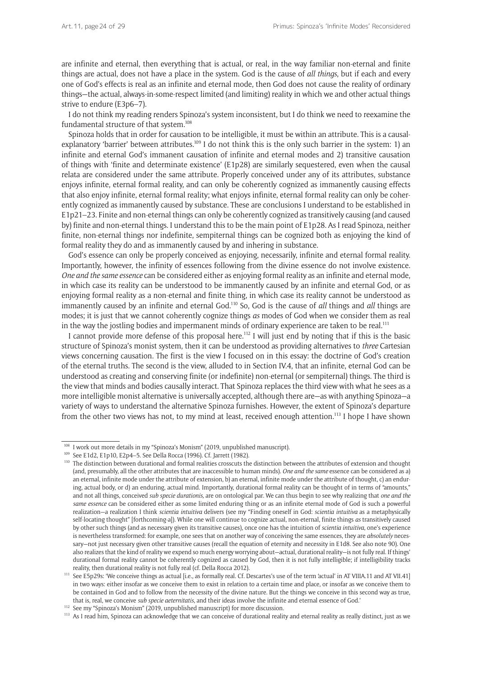are infinite and eternal, then everything that is actual, or real, in the way familiar non-eternal and finite things are actual, does not have a place in the system. God is the cause of *all things*, but if each and every one of God's effects is real as an infinite and eternal mode, then God does not cause the reality of ordinary things—the actual, always-in-some-respect limited (and limiting) reality in which we and other actual things strive to endure (E3p6–7).

I do not think my reading renders Spinoza's system inconsistent, but I do think we need to reexamine the fundamental structure of that system.<sup>108</sup>

Spinoza holds that in order for causation to be intelligible, it must be within an attribute. This is a causalexplanatory 'barrier' between attributes.<sup>109</sup> I do not think this is the only such barrier in the system: 1) an infinite and eternal God's immanent causation of infinite and eternal modes and 2) transitive causation of things with 'finite and determinate existence' (E1p28) are similarly sequestered, even when the causal relata are considered under the same attribute. Properly conceived under any of its attributes, substance enjoys infinite, eternal formal reality, and can only be coherently cognized as immanently causing effects that also enjoy infinite, eternal formal reality; what enjoys infinite, eternal formal reality can only be coherently cognized as immanently caused by substance. These are conclusions I understand to be established in E1p21–23. Finite and non-eternal things can only be coherently cognized as transitively causing (and caused by) finite and non-eternal things. I understand this to be the main point of E1p28. As I read Spinoza, neither finite, non-eternal things nor indefinite, sempiternal things can be cognized both as enjoying the kind of formal reality they do and as immanently caused by and inhering in substance.

God's essence can only be properly conceived as enjoying, necessarily, infinite and eternal formal reality. Importantly, however, the infinity of essences following from the divine essence do not involve existence. *One and the same essence* can be considered either as enjoying formal reality as an infinite and eternal mode, in which case its reality can be understood to be immanently caused by an infinite and eternal God, or as enjoying formal reality as a non-eternal and finite thing, in which case its reality cannot be understood as immanently caused by an infinite and eternal God.110 So, God is the cause of *all* things and *all* things are modes; it is just that we cannot coherently cognize things *as* modes of God when we consider them as real in the way the jostling bodies and impermanent minds of ordinary experience are taken to be real.<sup>111</sup>

I cannot provide more defense of this proposal here.<sup>112</sup> I will just end by noting that if this is the basic structure of Spinoza's monist system, then it can be understood as providing alternatives to *three* Cartesian views concerning causation. The first is the view I focused on in this essay: the doctrine of God's creation of the eternal truths. The second is the view, alluded to in Section IV.4, that an infinite, eternal God can be understood as creating and conserving finite (or indefinite) non-eternal (or sempiternal) things. The third is the view that minds and bodies causally interact. That Spinoza replaces the third view with what he sees as a more intelligible monist alternative is universally accepted, although there are—as with anything Spinoza—a variety of ways to understand the alternative Spinoza furnishes. However, the extent of Spinoza's departure from the other two views has not, to my mind at least, received enough attention.<sup>113</sup> I hope I have shown

<sup>&</sup>lt;sup>108</sup> I work out more details in my "Spinoza's Monism" (2019, unpublished manuscript).<br><sup>109</sup> See E1d2, E1p10, E2p4–5. See Della Rocca (1996). Cf. Jarrett (1982).

<sup>&</sup>lt;sup>110</sup> The distinction between durational and formal realities crosscuts the distinction between the attributes of extension and thought (and, presumably, all the other attributes that are inaccessible to human minds). *One and the same* essence can be considered as a) an eternal, infinite mode under the attribute of extension, b) an eternal, infinite mode under the attribute of thought, c) an enduring, actual body, or d) an enduring, actual mind. Importantly, durational formal reality can be thought of in terms of "amounts," and not all things, conceived *sub specie durationis,* are on ontological par. We can thus begin to see why realizing that *one and the same essence* can be considered either as some limited enduring thing or as an infinite eternal mode of God is such a powerful realization—a realization I think *scientia intuitiva* delivers (see my "Finding oneself in God: *scientia intuitiva* as a metaphysically self-locating thought" [forthcoming-a]). While one will continue to cognize actual, non-eternal, finite things *as* transitively caused by other such things (and as necessary given its transitive causes), once one has the intuition of *scientia intuitiva*, one's experience is nevertheless transformed: for example, one sees that on another way of conceiving the same essences, they are *absolutely* necessary—not just necessary given other transitive causes (recall the equation of eternity and necessity in E1d8. See also note 90). One also realizes that the kind of reality we expend so much energy worrying about—actual, durational reality—is not fully real. If things' durational formal reality cannot be coherently cognized as caused by God, then it is not fully intelligible; if intelligibility tracks reality, then durational reality is not fully real (cf. Della Rocca 2012). <sup>111</sup> See E5p29s: 'We conceive things as actual [i.e., as formally real. Cf. Descartes's use of the term 'actual' in AT VIIIA.11 and AT VII.41]

in two ways: either insofar as we conceive them to exist in relation to a certain time and place, or insofar as we conceive them to be contained in God and to follow from the necessity of the divine nature. But the things we conceive in this second way as true,

that is, real, we conceive *sub specie aeternitatis*, and their ideas involve the infinite and eternal essence of God.'<br><sup>112</sup> See my "Spinoza's Monism" (2019, unpublished manuscript) for more discussion.<br><sup>113</sup> As I read hi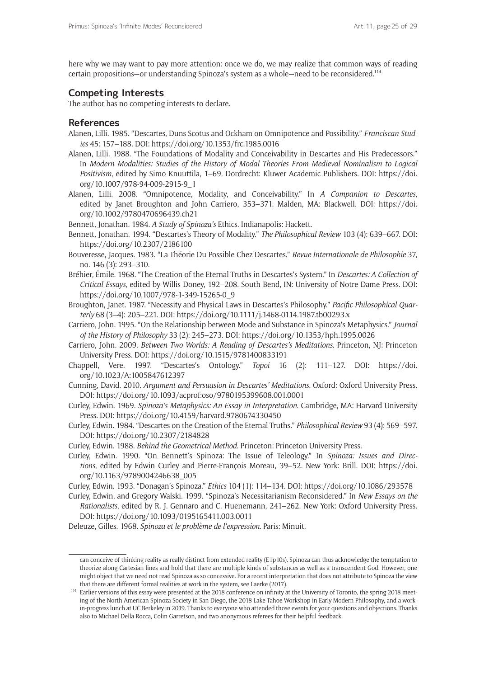here why we may want to pay more attention: once we do, we may realize that common ways of reading certain propositions—or understanding Spinoza's system as a whole—need to be reconsidered.114

# **Competing Interests**

The author has no competing interests to declare.

## **References**

- Alanen, Lilli. 1985. "Descartes, Duns Scotus and Ockham on Omnipotence and Possibility." *Franciscan Studies* 45: 157–188. DOI:<https://doi.org/10.1353/frc.1985.0016>
- Alanen, Lilli. 1988. "The Foundations of Modality and Conceivability in Descartes and His Predecessors." In *Modern Modalities: Studies of the History of Modal Theories From Medieval Nominalism to Logical Positivism*, edited by Simo Knuuttila, 1–69. Dordrecht: Kluwer Academic Publishers. DOI: [https://doi.](https://doi.org/10.1007/978-94-009-2915-9_1) [org/10.1007/978-94-009-2915-9\\_1](https://doi.org/10.1007/978-94-009-2915-9_1)
- Alanen, Lilli. 2008. "Omnipotence, Modality, and Conceivability." In *A Companion to Descartes*, edited by Janet Broughton and John Carriero, 353–371. Malden, MA: Blackwell. DOI: [https://doi.](https://doi.org/10.1002/9780470696439.ch21) [org/10.1002/9780470696439.ch21](https://doi.org/10.1002/9780470696439.ch21)

Bennett, Jonathan. 1984. *A Study of Spinoza's* Ethics. Indianapolis: Hackett.

- Bennett, Jonathan. 1994. "Descartes's Theory of Modality." *The Philosophical Review* 103 (4): 639–667. DOI: <https://doi.org/10.2307/2186100>
- Bouveresse, Jacques. 1983. "La Théorie Du Possible Chez Descartes." *Revue Internationale de Philosophie* 37, no. 146 (3): 293–310.
- Bréhier, Émile. 1968. "The Creation of the Eternal Truths in Descartes's System." In *Descartes: A Collection of Critical Essays,* edited by Willis Doney, 192–208. South Bend, IN: University of Notre Dame Press. DOI: [https://doi.org/10.1007/978-1-349-15265-0\\_9](https://doi.org/10.1007/978-1-349-15265-0_9)
- Broughton, Janet. 1987. "Necessity and Physical Laws in Descartes's Philosophy." *Pacific Philosophical Quarterly* 68 (3–4): 205–221. DOI: <https://doi.org/10.1111/j.1468-0114.1987.tb00293.x>
- Carriero, John. 1995. "On the Relationship between Mode and Substance in Spinoza's Metaphysics." *Journal of the History of Philosophy* 33 (2): 245–273. DOI: <https://doi.org/10.1353/hph.1995.0026>
- Carriero, John. 2009. *Between Two Worlds: A Reading of Descartes's Meditations*. Princeton, NJ: Princeton University Press. DOI: <https://doi.org/10.1515/9781400833191>
- Chappell, Vere. 1997. "Descartes's Ontology." *Topoi* 16 (2): 111–127. DOI: [https://doi.](https://doi.org/10.1023/A:1005847612397) [org/10.1023/A:1005847612397](https://doi.org/10.1023/A:1005847612397)
- Cunning, David. 2010. *Argument and Persuasion in Descartes' Meditations.* Oxford: Oxford University Press. DOI: <https://doi.org/10.1093/acprof:oso/9780195399608.001.0001>
- Curley, Edwin. 1969. *Spinoza's Metaphysics: An Essay in Interpretation*. Cambridge, MA: Harvard University Press. DOI: <https://doi.org/10.4159/harvard.9780674330450>
- Curley, Edwin. 1984. "Descartes on the Creation of the Eternal Truths." *Philosophical Review* 93 (4): 569–597. DOI: <https://doi.org/10.2307/2184828>
- Curley, Edwin. 1988. *Behind the Geometrical Method*. Princeton: Princeton University Press.
- Curley, Edwin. 1990. "On Bennett's Spinoza: The Issue of Teleology." In *Spinoza: Issues and Directions*, edited by Edwin Curley and Pierre-François Moreau, 39–52. New York: Brill. DOI: [https://doi.](https://doi.org/10.1163/9789004246638_005 ) [org/10.1163/9789004246638\\_005](https://doi.org/10.1163/9789004246638_005 )
- Curley, Edwin. 1993. "Donagan's Spinoza." *Ethics* 104 (1): 114–134. DOI:<https://doi.org/10.1086/293578>
- Curley, Edwin, and Gregory Walski. 1999. "Spinoza's Necessitarianism Reconsidered." In *New Essays on the Rationalists*, edited by R. J. Gennaro and C. Huenemann, 241–262. New York: Oxford University Press. DOI: <https://doi.org/10.1093/0195165411.003.0011>

Deleuze, Gilles. 1968. *Spinoza et le problème de l'expression*. Paris: Minuit.

can conceive of thinking reality as really distinct from extended reality (E1p10s). Spinoza can thus acknowledge the temptation to theorize along Cartesian lines and hold that there are multiple kinds of substances as well as a transcendent God. However, one might object that we need not read Spinoza as so concessive. For a recent interpretation that does not attribute to Spinoza the view that there are different formal realities at work in the system, see Laerke (2017).

<sup>&</sup>lt;sup>114</sup> Earlier versions of this essay were presented at the 2018 conference on infinity at the University of Toronto, the spring 2018 meeting of the North American Spinoza Society in San Diego, the 2018 Lake Tahoe Workshop in Early Modern Philosophy, and a workin-progress lunch at UC Berkeley in 2019. Thanks to everyone who attended those events for your questions and objections. Thanks also to Michael Della Rocca, Colin Garretson, and two anonymous referees for their helpful feedback.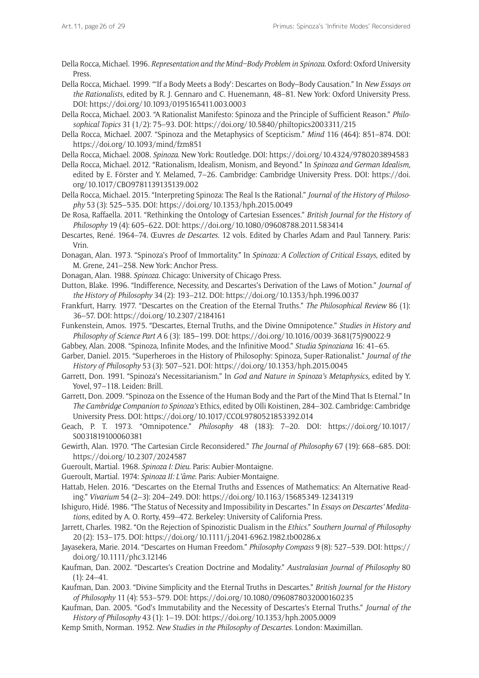Della Rocca, Michael. 1996. *Representation and the Mind–Body Problem in Spinoza.* Oxford: Oxford University Press.

Della Rocca, Michael. 1999. "'If a Body Meets a Body': Descartes on Body–Body Causation." In *New Essays on the Rationalists*, edited by R. J. Gennaro and C. Huenemann, 48–81. New York: Oxford University Press. DOI:<https://doi.org/10.1093/0195165411.003.0003>

Della Rocca, Michael. 2003. "A Rationalist Manifesto: Spinoza and the Principle of Sufficient Reason." *Philosophical Topics* 31 (1/2): 75–93. DOI: <https://doi.org/10.5840/philtopics2003311/215>

Della Rocca, Michael. 2007. "Spinoza and the Metaphysics of Scepticism." *Mind* 116 (464): 851–874. DOI: <https://doi.org/10.1093/mind/fzm851>

Della Rocca, Michael. 2008. *Spinoza*. New York: Routledge. DOI: <https://doi.org/10.4324/9780203894583>

Della Rocca, Michael. 2012. "Rationalism, Idealism, Monism, and Beyond." In *Spinoza and German Idealism,*  edited by E. Förster and Y. Melamed, 7–26. Cambridge: Cambridge University Press. DOI: [https://doi.](https://doi.org/10.1017/CBO9781139135139.002) [org/10.1017/CBO9781139135139.002](https://doi.org/10.1017/CBO9781139135139.002)

Della Rocca, Michael. 2015. "Interpreting Spinoza: The Real Is the Rational." *Journal of the History of Philosophy* 53 (3): 525–535. DOI:<https://doi.org/10.1353/hph.2015.0049>

De Rosa, Raffaella. 2011. "Rethinking the Ontology of Cartesian Essences." *British Journal for the History of Philosophy* 19 (4): 605–622. DOI: <https://doi.org/10.1080/09608788.2011.583414>

Descartes, René. 1964–74. Œuvres *de Descartes*. 12 vols. Edited by Charles Adam and Paul Tannery. Paris: Vrin.

Donagan, Alan. 1973. "Spinoza's Proof of Immortality." In *Spinoza: A Collection of Critical Essays*, edited by M. Grene, 241–258. New York: Anchor Press.

Donagan, Alan. 1988. *Spinoza*. Chicago: University of Chicago Press.

Dutton, Blake. 1996. "Indifference, Necessity, and Descartes's Derivation of the Laws of Motion." *Journal of the History of Philosophy* 34 (2): 193–212. DOI: <https://doi.org/10.1353/hph.1996.0037>

Frankfurt, Harry. 1977. "Descartes on the Creation of the Eternal Truths." *The Philosophical Review* 86 (1): 36–57. DOI:<https://doi.org/10.2307/2184161>

Funkenstein, Amos. 1975. "Descartes, Eternal Truths, and the Divine Omnipotence." *Studies in History and Philosophy of Science Part A* 6 (3): 185–199. DOI: [https://doi.org/10.1016/0039-3681\(75\)90022-9](https://doi.org/10.1016/0039-3681(75)90022-9)

Gabbey, Alan. 2008. "Spinoza, Infinite Modes, and the Infinitive Mood." *Studia Spinoziana* 16: 41–65.

Garber, Daniel. 2015. "Superheroes in the History of Philosophy: Spinoza, Super-Rationalist." *Journal of the History of Philosophy* 53 (3): 507–521. DOI: <https://doi.org/10.1353/hph.2015.0045>

Garrett, Don. 1991. "Spinoza's Necessitarianism." In *God and Nature in Spinoza's Metaphysics*, edited by Y. Yovel, 97–118. Leiden: Brill.

Garrett, Don. 2009. "Spinoza on the Essence of the Human Body and the Part of the Mind That Is Eternal." In *The Cambridge Companion to Spinoza's* Ethics, edited by Olli Koistinen, 284–302. Cambridge: Cambridge University Press. DOI:<https://doi.org/10.1017/CCOL9780521853392.014>

Geach, P. T. 1973. "Omnipotence." *Philosophy* 48 (183): 7–20. DOI: [https://doi.org/10.1017/](https://doi.org/10.1017/S0031819100060381) [S0031819100060381](https://doi.org/10.1017/S0031819100060381)

Gewirth, Alan. 1970. "The Cartesian Circle Reconsidered." *The Journal of Philosophy* 67 (19): 668–685. DOI: <https://doi.org/10.2307/2024587>

Gueroult, Martial. 1968. *Spinoza I: Dieu*. Paris: Aubier-Montaigne.

Gueroult, Martial. 1974: *Spinoza II: L'âme*. Paris: Aubier-Montaigne.

Hattab, Helen. 2016. "Descartes on the Eternal Truths and Essences of Mathematics: An Alternative Reading." *Vivarium* 54 (2–3): 204–249. DOI: <https://doi.org/10.1163/15685349-12341319>

Ishiguro, Hidé. 1986. "The Status of Necessity and Impossibility in Descartes." In *Essays on Descartes' Meditations*, edited by A. O. Rorty, 459–472. Berkeley: University of California Press.

Jarrett, Charles. 1982. "On the Rejection of Spinozistic Dualism in the *Ethics*." *Southern Journal of Philosophy* 20 (2): 153–175. DOI: <https://doi.org/10.1111/j.2041-6962.1982.tb00286.x>

Jayasekera, Marie. 2014. "Descartes on Human Freedom." *Philosophy Compass* 9 (8): 527–539. DOI: [https://](https://doi.org/10.1111/phc3.12146) [doi.org/10.1111/phc3.12146](https://doi.org/10.1111/phc3.12146)

Kaufman, Dan. 2002. "Descartes's Creation Doctrine and Modality." *Australasian Journal of Philosophy* 80  $(1): 24 - 41.$ 

Kaufman, Dan. 2003. "Divine Simplicity and the Eternal Truths in Descartes." *British Journal for the History of Philosophy* 11 (4): 553–579. DOI: <https://doi.org/10.1080/0960878032000160235>

Kaufman, Dan. 2005. "God's Immutability and the Necessity of Descartes's Eternal Truths." *Journal of the History of Philosophy* 43 (1): 1–19. DOI:<https://doi.org/10.1353/hph.2005.0009>

Kemp Smith, Norman. 1952. *New Studies in the Philosophy of Descartes*. London: Maximillan.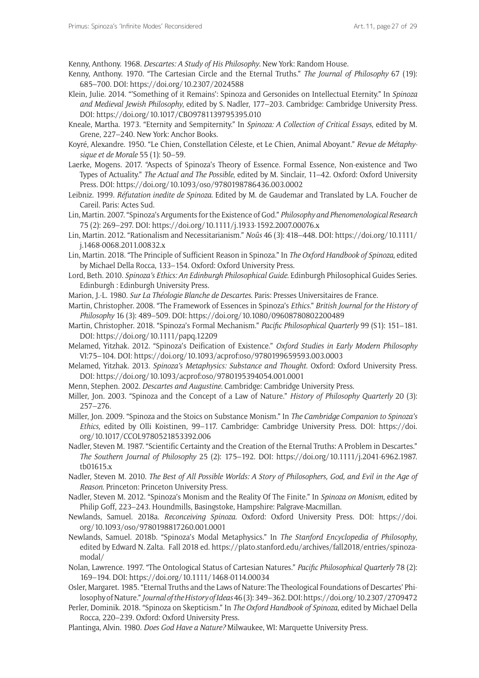Kenny, Anthony. 1968. *Descartes: A Study of His Philosophy*. New York: Random House.

- Kenny, Anthony. 1970. "The Cartesian Circle and the Eternal Truths." *The Journal of Philosophy* 67 (19): 685–700. DOI: <https://doi.org/10.2307/2024588>
- Klein, Julie. 2014. "'Something of it Remains': Spinoza and Gersonides on Intellectual Eternity." In *Spinoza and Medieval Jewish Philosophy*, edited by S. Nadler, 177–203. Cambridge: Cambridge University Press. DOI: <https://doi.org/10.1017/CBO9781139795395.010>
- Kneale, Martha. 1973. "Eternity and Sempiternity." In *Spinoza: A Collection of Critical Essays*, edited by M. Grene, 227–240. New York: Anchor Books.
- Koyré, Alexandre. 1950. "Le Chien, Constellation Céleste, et Le Chien, Animal Aboyant." *Revue de Métaphysique et de Morale* 55 (1): 50–59.
- Laerke, Mogens. 2017. "Aspects of Spinoza's Theory of Essence. Formal Essence, Non-existence and Two Types of Actuality." *The Actual and The Possible*, edited by M. Sinclair, 11–42. Oxford: Oxford University Press. DOI: <https://doi.org/10.1093/oso/9780198786436.003.0002>
- Leibniz. 1999. *Réfutation inedite de Spinoza.* Edited by M. de Gaudemar and Translated by L.A. Foucher de Careil. Paris: Actes Sud.
- Lin, Martin. 2007. "Spinoza's Arguments for the Existence of God." *Philosophy and Phenomenological Research* 75 (2): 269–297. DOI:<https://doi.org/10.1111/j.1933-1592.2007.00076.x>
- Lin, Martin. 2012. "Rationalism and Necessitarianism." *Noûs* 46 (3): 418–448. DOI: [https://doi.org/10.1111/](https://doi.org/10.1111/j.1468-0068.2011.00832.x) [j.1468-0068.2011.00832.x](https://doi.org/10.1111/j.1468-0068.2011.00832.x)
- Lin, Martin. 2018. "The Principle of Sufficient Reason in Spinoza." In *The Oxford Handbook of Spinoza*, edited by Michael Della Rocca, 133–154. Oxford: Oxford University Press.
- Lord, Beth. 2010. *Spinoza's Ethics: An Edinburgh Philosophical Guide.* Edinburgh Philosophical Guides Series. Edinburgh : Edinburgh University Press.
- Marion, J.-L. 1980. *Sur La Théologie Blanche de Descartes*. Paris: Presses Universitaires de France.
- Martin, Christopher. 2008. "The Framework of Essences in Spinoza's *Ethics*." *British Journal for the History of Philosophy* 16 (3): 489–509. DOI:<https://doi.org/10.1080/09608780802200489>
- Martin, Christopher. 2018. "Spinoza's Formal Mechanism." *Pacific Philosophical Quarterly* 99 (S1): 151–181. DOI: <https://doi.org/10.1111/papq.12209>
- Melamed, Yitzhak. 2012. "Spinoza's Deification of Existence." *Oxford Studies in Early Modern Philosophy*  VI:75–104. DOI: <https://doi.org/10.1093/acprof:oso/9780199659593.003.0003>
- Melamed, Yitzhak. 2013. *Spinoza's Metaphysics: Substance and Thought*. Oxford: Oxford University Press. DOI: <https://doi.org/10.1093/acprof:oso/9780195394054.001.0001>
- Menn, Stephen. 2002. *Descartes and Augustine.* Cambridge: Cambridge University Press.
- Miller, Jon. 2003. "Spinoza and the Concept of a Law of Nature." *History of Philosophy Quarterly* 20 (3): 257–276.
- Miller, Jon. 2009. "Spinoza and the Stoics on Substance Monism." In *The Cambridge Companion to Spinoza's Ethics,* edited by Olli Koistinen, 99–117. Cambridge: Cambridge University Press. DOI: [https://doi.](https://doi.org/10.1017/CCOL9780521853392.006) [org/10.1017/CCOL9780521853392.006](https://doi.org/10.1017/CCOL9780521853392.006)
- Nadler, Steven M. 1987. "Scientific Certainty and the Creation of the Eternal Truths: A Problem in Descartes." *The Southern Journal of Philosophy* 25 (2): 175–192. DOI: [https://doi.org/10.1111/j.2041-6962.1987.](https://doi.org/10.1111/j.2041-6962.1987.tb01615.x) [tb01615.x](https://doi.org/10.1111/j.2041-6962.1987.tb01615.x)
- Nadler, Steven M. 2010. *The Best of All Possible Worlds: A Story of Philosophers, God, and Evil in the Age of Reason*. Princeton: Princeton University Press.
- Nadler, Steven M. 2012. "Spinoza's Monism and the Reality Of The Finite." In *Spinoza on Monism*, edited by Philip Goff, 223–243. Houndmills, Basingstoke, Hampshire: Palgrave-Macmillan.
- Newlands, Samuel. 2018a. *Reconceiving Spinoza*. Oxford: Oxford University Press. DOI: [https://doi.](https://doi.org/10.1093/oso/9780198817260.001.0001) [org/10.1093/oso/9780198817260.001.0001](https://doi.org/10.1093/oso/9780198817260.001.0001)
- Newlands, Samuel. 2018b. "Spinoza's Modal Metaphysics." In *The Stanford Encyclopedia of Philosophy*, edited by Edward N. Zalta. Fall 2018 ed. [https://plato.stanford.edu/archives/fall2018/entries/spinoza](https://plato.stanford.edu/archives/fall2018/entries/spinoza-modal/)[modal/](https://plato.stanford.edu/archives/fall2018/entries/spinoza-modal/)
- Nolan, Lawrence. 1997. "The Ontological Status of Cartesian Natures." *Pacific Philosophical Quarterly* 78 (2): 169–194. DOI: <https://doi.org/10.1111/1468-0114.00034>
- Osler, Margaret. 1985. "Eternal Truths and the Laws of Nature: The Theological Foundations of Descartes' Philosophy of Nature." *Journal of the History of Ideas* 46 (3): 349–362. DOI:<https://doi.org/10.2307/2709472>
- Perler, Dominik. 2018. "Spinoza on Skepticism." In *The Oxford Handbook of Spinoza*, edited by Michael Della Rocca, 220–239. Oxford: Oxford University Press.
- Plantinga, Alvin. 1980. *Does God Have a Nature?* Milwaukee, WI: Marquette University Press.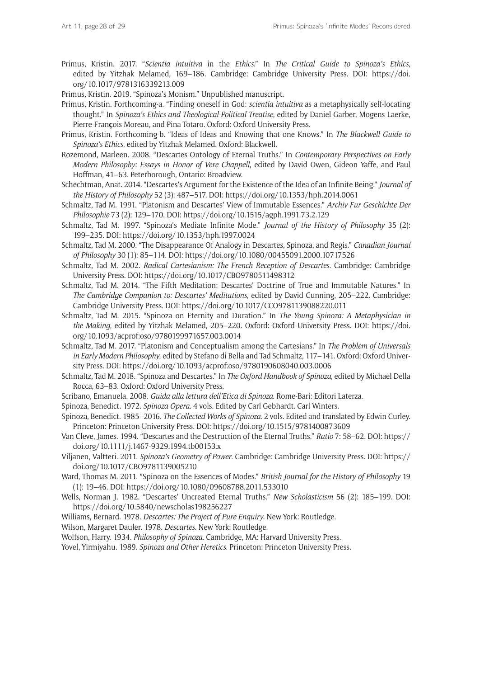Primus, Kristin. 2017. "*Scientia intuitiva* in the *Ethics*." In *The Critical Guide to Spinoza's Ethics,*  edited by Yitzhak Melamed, 169–186. Cambridge: Cambridge University Press. DOI: [https://doi.](https://doi.org/10.1017/9781316339213.009) [org/10.1017/9781316339213.009](https://doi.org/10.1017/9781316339213.009)

Primus, Kristin. 2019. "Spinoza's Monism." Unpublished manuscript.

- Primus, Kristin. Forthcoming-a. "Finding oneself in God: *scientia intuitiva* as a metaphysically self-locating thought." In *Spinoza's Ethics and Theological-Political Treatise*, edited by Daniel Garber, Mogens Laerke, Pierre-Fran**ç**ois Moreau, and Pina Totaro*.* Oxford: Oxford University Press.
- Primus, Kristin. Forthcoming-b. "Ideas of Ideas and Knowing that one Knows." In *The Blackwell Guide to Spinoza's Ethics*, edited by Yitzhak Melamed. Oxford: Blackwell.
- Rozemond, Marleen. 2008. "Descartes Ontology of Eternal Truths." In *Contemporary Perspectives on Early Modern Philosophy: Essays in Honor of Vere Chappell*, edited by David Owen, Gideon Yaffe, and Paul Hoffman, 41–63. Peterborough, Ontario: Broadview.
- Schechtman, Anat. 2014. "Descartes's Argument for the Existence of the Idea of an Infinite Being." *Journal of the History of Philosophy* 52 (3): 487–517. DOI:<https://doi.org/10.1353/hph.2014.0061>
- Schmaltz, Tad M. 1991. "Platonism and Descartes' View of Immutable Essences." *Archiv Fur Geschichte Der Philosophie* 73 (2): 129–170. DOI: <https://doi.org/10.1515/agph.1991.73.2.129>
- Schmaltz, Tad M. 1997. "Spinoza's Mediate Infinite Mode." *Journal of the History of Philosophy* 35 (2): 199–235. DOI: <https://doi.org/10.1353/hph.1997.0024>

Schmaltz, Tad M. 2000. "The Disappearance Of Analogy in Descartes, Spinoza, and Regis." *Canadian Journal of Philosophy* 30 (1): 85–114. DOI:<https://doi.org/10.1080/00455091.2000.10717526>

- Schmaltz, Tad M. 2002. *Radical Cartesianism: The French Reception of Descartes.* Cambridge: Cambridge University Press. DOI:<https://doi.org/10.1017/CBO9780511498312>
- Schmaltz, Tad M. 2014. "The Fifth Meditation: Descartes' Doctrine of True and Immutable Natures." In *The Cambridge Companion to: Descartes' Meditations*, edited by David Cunning, 205–222. Cambridge: Cambridge University Press. DOI:<https://doi.org/10.1017/CCO9781139088220.011>
- Schmaltz, Tad M. 2015. "Spinoza on Eternity and Duration." In *The Young Spinoza: A Metaphysician in the Making*, edited by Yitzhak Melamed, 205–220. Oxford: Oxford University Press. DOI: [https://doi.](https://doi.org/10.1093/acprof:oso/9780199971657.003.0014) [org/10.1093/acprof:oso/9780199971657.003.0014](https://doi.org/10.1093/acprof:oso/9780199971657.003.0014)
- Schmaltz, Tad M. 2017. "Platonism and Conceptualism among the Cartesians." In *The Problem of Universals in Early Modern Philosophy*, edited by Stefano di Bella and Tad Schmaltz, 117–141. Oxford: Oxford University Press. DOI: <https://doi.org/10.1093/acprof:oso/9780190608040.003.0006>
- Schmaltz, Tad M. 2018. "Spinoza and Descartes." In *The Oxford Handbook of Spinoza*, edited by Michael Della Rocca, 63–83. Oxford: Oxford University Press.
- Scribano, Emanuela. 2008. *Guida alla lettura dell'Etica di Spinoza*. Rome-Bari: Editori Laterza.
- Spinoza, Benedict. 1972. *Spinoza Opera*. 4 vols. Edited by Carl Gebhardt. Carl Winters.
- Spinoza, Benedict. 1985–2016. *The Collected Works of Spinoza*. 2 vols. Edited and translated by Edwin Curley. Princeton: Princeton University Press. DOI: <https://doi.org/10.1515/9781400873609>
- Van Cleve, James. 1994. "Descartes and the Destruction of the Eternal Truths." *Ratio* 7: 58–62. DOI: [https://](https://doi.org/10.1111/j.1467-9329.1994.tb00153.x) [doi.org/10.1111/j.1467-9329.1994.tb00153.x](https://doi.org/10.1111/j.1467-9329.1994.tb00153.x)
- Viljanen, Valtteri. 2011. *Spinoza's Geometry of Power*. Cambridge: Cambridge University Press. DOI: [https://](https://doi.org/10.1017/CBO9781139005210) [doi.org/10.1017/CBO9781139005210](https://doi.org/10.1017/CBO9781139005210)
- Ward, Thomas M. 2011. "Spinoza on the Essences of Modes." *British Journal for the History of Philosophy* 19 (1): 19–46. DOI:<https://doi.org/10.1080/09608788.2011.533010>
- Wells, Norman J. 1982. "Descartes' Uncreated Eternal Truths." *New Scholasticism* 56 (2): 185–199. DOI: <https://doi.org/10.5840/newscholas198256227>
- Williams, Bernard. 1978. *Descartes: The Project of Pure Enquiry*. New York: Routledge.
- Wilson, Margaret Dauler. 1978. *Descartes*. New York: Routledge.
- Wolfson, Harry. 1934. *Philosophy of Spinoza*. Cambridge, MA: Harvard University Press.

Yovel, Yirmiyahu. 1989. *Spinoza and Other Heretics*. Princeton: Princeton University Press.